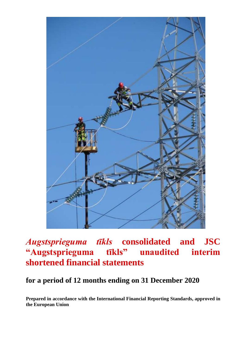

# *Augstsprieguma tīkls* **consolidated and JSC "Augstsprieguma tīkls" unaudited interim shortened financial statements**

## **for a period of 12 months ending on 31 December 2020**

**Prepared in accordance with the International Financial Reporting Standards, approved in the European Union**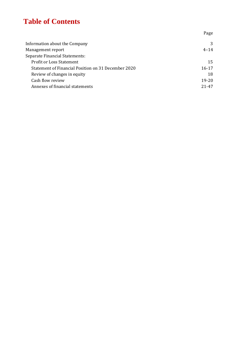## **Table of Contents**

|                                                     | .47       |
|-----------------------------------------------------|-----------|
| Information about the Company                       | 3         |
| Management report                                   | $4 - 14$  |
| Separate Financial Statements:                      |           |
| <b>Profit or Loss Statement</b>                     | 15        |
| Statement of Financial Position on 31 December 2020 | $16 - 17$ |
| Review of changes in equity                         | 18        |
| Cash flow review                                    | $19 - 20$ |
| Annexes of financial statements                     | 21-47     |
|                                                     |           |

Page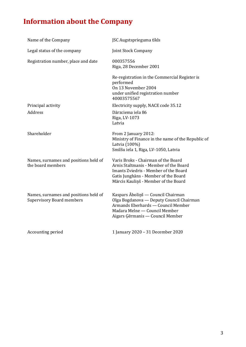# **Information about the Company**

| Name of the Company                                                       | JSC Augstsprieguma tīkls                                                                                                                                                                               |
|---------------------------------------------------------------------------|--------------------------------------------------------------------------------------------------------------------------------------------------------------------------------------------------------|
| Legal status of the company                                               | Joint Stock Company                                                                                                                                                                                    |
| Registration number, place and date                                       | 000357556<br>Riga, 28 December 2001                                                                                                                                                                    |
|                                                                           | Re-registration in the Commercial Register is<br>performed<br>On 13 November 2004<br>under unified registration number<br>40003575567                                                                  |
| Principal activity                                                        | Electricity supply, NACE code 35.12                                                                                                                                                                    |
| <b>Address</b>                                                            | Dārzciema iela 86<br>Riga, LV-1073<br>Latvia                                                                                                                                                           |
| Shareholder                                                               | From 2 January 2012:<br>Ministry of Finance in the name of the Republic of<br>Latvia (100%)<br>Smilšu iela 1, Riga, LV-1050, Latvia                                                                    |
| Names, surnames and positions held of<br>the board members                | Varis Broks - Chairman of the Board<br>Arnis Staltmanis - Member of the Board<br>Imants Zviedris - Member of the Board<br>Gatis Junghāns - Member of the Board<br>Mārcis Kauliņš - Member of the Board |
| Names, surnames and positions held of<br><b>Supervisory Board members</b> | Kaspars Āboliņš — Council Chairman<br>Olga Bogdanova — Deputy Council Chairman<br>Armands Eberhards - Council Member<br>Madara Melne - Council Member<br>Aigars Ģērmanis — Council Member              |
| Accounting period                                                         | 1 January 2020 - 31 December 2020                                                                                                                                                                      |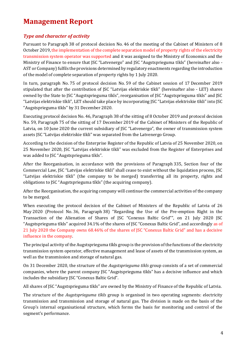## **Management Report**

## *Type and character of activity*

Pursuant to Paragraph 38 of protocol decision No. 46 of the meeting of the Cabinet of Ministers of 8 October 2019, the implementation of the complete separation model of property rights of the electricity transmission system operator was supported and it was assigned to the Ministry of Economics and the Ministry of Finance to ensure that JSC "Latvenergo" and JSC "Augstsprieguma tīkls" (hereinafter also - AST or Company) fulfils the provisions determined by regulatory enactments regarding the introduction of the model of complete separation of property rights by 1 July 2020.

In turn, paragraph No. 75 of protocol decision No. 59 of the Cabinet session of 17 December 2019 stipulated that after the contribution of JSC "Latvijas elektriskie tīkli" (hereinafter also - LET) shares owned by the State to JSC "Augstsprieguma tīkls", reorganisation of JSC "Augstsprieguma tīkls" and JSC "Latvijas elektriskie tīkli", LET should take place by incorporating JSC "Latvijas elektriskie tīkli" into JSC "Augstsprieguma tīkls" by 31 December 2020.

Executing protocol decision No. 46, Paragraph 38 of the sitting of 8 October 2019 and protocol decision No. 59, Paragraph 75 of the sitting of 17 December 2019 of the Cabinet of Ministers of the Republic of Latvia, on 10 June 2020 the current subsidiary of JSC "Latvenergo", the owner of transmission system assets JSC "Latvijas elektriskie tīkli" was separated from the Latvenergo Group.

According to the decision of the Enterprise Register of the Republic of Latvia of 25 November 2020, on 25 November 2020, JSC "Latvijas elektriskie tīkli" was excluded from the Register of Enterprises and was added to JSC "Augstsprieguma tīkls".

After the Reorganisation, in accordance with the provisions of Paragraph 335, Section four of the Commercial Law, JSC "Latvijas elektriskie tīkli" shall cease to exist without the liquidation process, JSC "Latvijas elektriskie tīkli" (the company to be merged) transferring all its property, rights and obligations to JSC "Augstsprieguma tīkls" (the acquiring company).

After the Reorganisation, the acquiring company will continue the commercial activities of the company to be merged.

When executing the protocol decision of the Cabinet of Ministers of the Republic of Latvia of 26 May 2020 (Protocol No. 36, Paragraph 38) "Regarding the Use of the Pre-emption Right in the Transaction of the Alienation of Shares of JSC "Conexus Baltic Grid"", on 21 July 2020 JSC "Augstsprieguma tīkls" acquired 34.1% of the shares of JSC "Conexus Baltic Grid", and accordingly as of 21 July 2020 the Company owns 68.46% of the shares of JSC "Conexus Baltic Grid" and has a decisive influence in the company.

The principal activity of the Augstsprieguma tīkls group is the provision of the functions of the electricity transmission system operator, effective management and lease of assets of the transmission system, as well as the transmission and storage of natural gas.

On 31 December 2020, the structure of the *Augstsprieguma tīkls* group consists of a set of commercial companies, where the parent company JSC "Augstsprieguma tīkls" has a decisive influence and which includes the subsidiary JSC "Conexus Baltic Grid".

All shares of JSC "Augstsprieguma tīkls" are owned by the Ministry of Finance of the Republic of Latvia.

The structure of the *Augstsprieguma tīkls* group is organised in two operating segments: electricity transmission and transmission and storage of natural gas. The division is made on the basis of the Group's internal organisational structure, which forms the basis for monitoring and control of the segment's performance.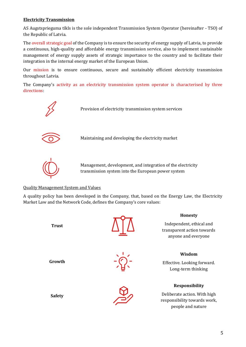#### **Electricity Transmission**

AS Augstsprieguma tīkls is the sole independent Transmission System Operator (hereinafter - TSO) of the Republic of Latvia.

The overall strategic goal of the Company is to ensure the security of energy supply of Latvia, to provide a continuous, high-quality and affordable energy transmission service, also to implement sustainable management of energy supply assets of strategic importance to the country and to facilitate their integration in the internal energy market of the European Union.

Our mission is to ensure continuous, secure and sustainably efficient electricity transmission throughout Latvia.

The Company's activity as an electricity transmission system operator is characterised by three directions:



## Quality Management System and Values

A quality policy has been developed in the Company, that, based on the Energy Law, the Electricity Market Law and the Network Code, defines the Company's core values:

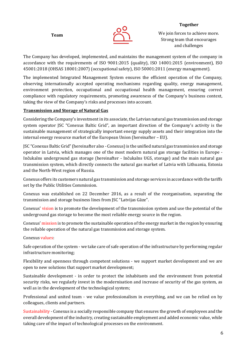**Team**



#### **Together**

We join forces to achieve more. Strong team that encourages and challenges

The Company has developed, implemented, and maintains the management system of the company in accordance with the requirements of ISO 9001:2015 (quality), ISO 14001:2015 (environment), ISO 45001:2018 (OHSAS 18001:2007) (occupational safety), ISO 50001:2011 (energy management).

The implemented Integrated Management System ensures the efficient operation of the Company, observing internationally accepted operating mechanisms regarding quality, energy management, environment protection, occupational and occupational health management, ensuring correct compliance with regulatory requirements, promoting awareness of the Company's business context, taking the view of the Company's risks and processes into account.

#### **Transmission and Storage of Natural Gas**

Considering the Company's investment in its associate, the Latvian natural gas transmission and storage system operator JSC "Conexus Baltic Grid", an important direction of the Company's activity is the sustainable management of strategically important energy supply assets and their integration into the internal energy resource market of the European Union (hereinafter – EU).

JSC "Conexus Baltic Grid" (hereinafter also - Conexus) is the unified natural gas transmission and storage operator in Latvia, which manages one of the most modern natural gas storage facilities in Europe - Inčukalns underground gas storage (hereinafter - Inčukalns UGS, storage) and the main natural gas transmission system, which directly connects the natural gas market of Latvia with Lithuania, Estonia and the North-West region of Russia.

Conexus offers its customers natural gas transmission and storage services in accordance with the tariffs set by the Public Utilities Commission.

Conexus was established on 22 December 2016, as a result of the reorganisation, separating the transmission and storage business lines from JSC "Latvijas Gāze".

Conexus' vision is to promote the development of the transmission system and use the potential of the underground gas storage to become the most reliable energy source in the region.

Conexus' mission is to promote the sustainable operation of the energy market in the region by ensuring the reliable operation of the natural gas transmission and storage system.

#### Conexus values:

Safe operation of the system - we take care of safe operation of the infrastructure by performing regular infrastructure monitoring;

Flexibility and openness through competent solutions - we support market development and we are open to new solutions that support market development;

Sustainable development - in order to protect the inhabitants and the environment from potential security risks, we regularly invest in the modernisation and increase of security of the gas system, as well as in the development of the technological system;

Professional and united team - we value professionalism in everything, and we can be relied on by colleagues, clients and partners.

Sustainability - Conexus is a socially responsible company that ensures the growth of employees and the overall development of the industry, creating sustainable employment and added economic value, while taking care of the impact of technological processes on the environment.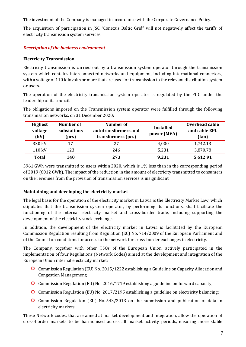The investment of the Company is managed in accordance with the Corporate Governance Policy.

The acquisition of participation in JSC "Conexus Baltic Grid" will not negatively affect the tariffs of electricity transmission system services.

#### *Description of the business environment*

#### **Electricity Transmission**

Electricity transmission is carried out by a transmission system operator through the transmission system which contains interconnected networks and equipment, including international connectors, with a voltage of 110 kilovolts or more that are used for transmission to the relevant distribution system or users.

The operation of the electricity transmission system operator is regulated by the PUC under the leadership of its council.

The obligations imposed on the Transmission system operator were fulfilled through the following transmission networks, on 31 December 2020:

| <b>Highest</b><br>voltage<br>(kV) | Number of<br>substations<br>(pcs) | Number of<br>autotransformers and<br>transformers (pcs) | <b>Installed</b><br>power (MVA) | Overhead cable<br>and cable EPL<br>(km) |
|-----------------------------------|-----------------------------------|---------------------------------------------------------|---------------------------------|-----------------------------------------|
| 330 kV                            | 17                                | 27                                                      | 4,000                           | 1,742.13                                |
| 110 kV                            | 123                               | 246                                                     | 5,231                           | 3,870.78                                |
| <b>Total</b>                      | 140                               | 273                                                     | 9,231                           | 5,612.91                                |

5961 GWh were transmitted to users within 2020, which is 1% less than in the corresponding period of 2019 (6012 GWh). The impact of the reduction in the amount of electricity transmitted to consumers on the revenues from the provision of transmission services is insignificant.

#### **Maintaining and developing the electricity market**

The legal basis for the operation of the electricity market in Latvia is the Electricity Market Law, which stipulates that the transmission system operator, by performing its functions, shall facilitate the functioning of the internal electricity market and cross-border trade, including supporting the development of the electricity stock exchange.

In addition, the development of the electricity market in Latvia is facilitated by the European Commission Regulation resulting from Regulation (EC) No. 714/2009 of the European Parliament and of the Council on conditions for access to the network for cross-border exchanges in electricity.

The Company, together with other TSOs of the European Union, actively participated in the implementation of four Regulations (Network Codes) aimed at the development and integration of the European Union internal electricity market:

- Commission Regulation (EU) No. 2015/1222 establishing a Guideline on Capacity Allocation and Congestion Management;
- Commission Regulation (EU) No. 2016/1719 establishing a guideline on forward capacity;
- **C** Commission Regulation (EU) No. 2017/2195 establishing a guideline on electricity balancing;
- Commission Regulation (EU) No. 543/2013 on the submission and publication of data in electricity markets.

These Network codes, that are aimed at market development and integration, allow the operation of cross-border markets to be harmonised across all market activity periods, ensuring more stable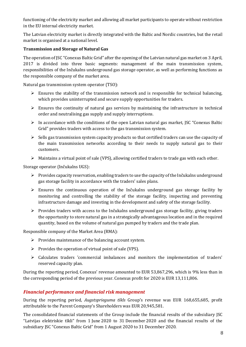functioning of the electricity market and allowing all market participants to operate without restriction in the EU internal electricity market.

The Latvian electricity market is directly integrated with the Baltic and Nordic countries, but the retail market is organised at a national level.

#### **Transmission and Storage of Natural Gas**

The operation of JSC "Conexus Baltic Grid" after the opening of the Latvian natural gas market on 3 April, 2017 is divided into three basic segments: management of the main transmission system, responsibilities of the Inčukalns underground gas storage operator, as well as performing functions as the responsible company of the market area.

Natural gas transmission system operator (TSO):

- $\triangleright$  Ensures the stability of the transmission network and is responsible for technical balancing, which provides uninterrupted and secure supply opportunities for traders.
- $\triangleright$  Ensures the continuity of natural gas services by maintaining the infrastructure in technical order and neutralising gas supply and supply interruptions.
- $\triangleright$  In accordance with the conditions of the open Latvian natural gas market, JSC "Conexus Baltic" Grid" provides traders with access to the gas transmission system.
- $\triangleright$  Sells gas transmission system capacity products so that certified traders can use the capacity of the main transmission networks according to their needs to supply natural gas to their customers.
- ➢ Maintains a virtual point of sale (VPS), allowing certified traders to trade gas with each other.

Storage operator (Inčukalns UGS):

- $\triangleright$  Provides capacity reservation, enabling traders to use the capacity of the Inčukalns underground gas storage facility in accordance with the traders' sales plans.
- $\triangleright$  Ensures the continuous operation of the Inčukalns underground gas storage facility by monitoring and controlling the stability of the storage facility, inspecting and preventing infrastructure damage and investing in the development and safety of the storage facility.
- ➢ Provides traders with access to the Inčukalns underground gas storage facility, giving traders the opportunity to store natural gas in a strategically advantageous location and in the required quantity, based on the volume of natural gas pumped by traders and the trade plan.

Responsible company of the Market Area (RMA):

- $\triangleright$  Provides maintenance of the balancing account system.
- ➢ Provides the operation of virtual point of sale (VPS).
- ➢ Calculates traders 'commercial imbalances and monitors the implementation of traders' reserved capacity plan.

During the reporting period, Conexus' revenue amounted to EUR 53,867,296, which is 9% less than in the corresponding period of the previous year. Conexus profit for 2020 is EUR 13,111,806.

## *Financial performance and financial risk management*

During the reporting period, *Augstsprieguma tīkls* Group's revenue was EUR 168,655,685, profit attributable to the Parent Company's Shareholders was EUR 20,945,581.

The consolidated financial statements of the Group include the financial results of the subsidiary JSC "Latvijas elektriskie tīkli" from 1 June 2020 to 31 December 2020 and the financial results of the subsidiary JSC "Conexus Baltic Grid" from 1 August 2020 to 31 December 2020.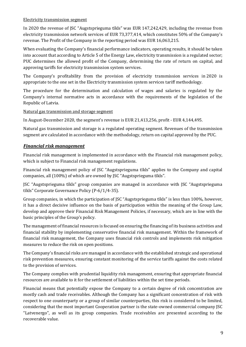#### Electricity transmission segment

In 2020 the revenue of JSC "Augstsprieguma tīkls" was EUR 147,242,429, including the revenue from electricity transmission network services of EUR 73,377,414, which constitutes 50% of the Company's revenue. The Profit of the Company in the reporting period was EUR 16,063,215.

When evaluating the Company's financial performance indicators, operating results, it should be taken into account that according to Article 5 of the Energy Law, electricity transmission is a regulated sector; PUC determines the allowed profit of the Company, determining the rate of return on capital, and approving tariffs for electricity transmission system services.

The Company's profitability from the provision of electricity transmission services in 2020 is appropriate to the one set in the Electricity transmission system services tariff methodology.

The procedure for the determination and calculation of wages and salaries is regulated by the Company's internal normative acts in accordance with the requirements of the legislation of the Republic of Latvia.

Natural gas transmission and storage segment

In August-December 2020, the segment's revenue is EUR 21,413,256, profit - EUR 4,144,495.

Natural gas transmission and storage is a regulated operating segment. Revenues of the transmission segment are calculated in accordance with the methodology, return on capital approved by the PUC.

## *Financial risk management*

Financial risk management is implemented in accordance with the Financial risk management policy, which is subject to Financial risk management regulations.

Financial risk management policy of JSC "Augstsprieguma tīkls" applies to the Company and capital companies, all (100%) of which are owned by JSC "Augstsprieguma tīkls".

JSC "Augstsprieguma tīkls" group companies are managed in accordance with JSC "Augstsprieguma tīkls" Corporate Governance Policy (P-6/1/4-35).

Group companies, in which the participation of JSC "Augstsprieguma tīkls" is less than 100%, however, it has a direct decisive influence on the basis of participation within the meaning of the Group Law, develop and approve their Financial Risk Management Policies, if necessary, which are in line with the basic principles of the Group's policy.

The management of financial resources is focused on ensuring the financing of its business activities and financial stability by implementing conservative financial risk management. Within the framework of financial risk management, the Company uses financial risk controls and implements risk mitigation measures to reduce the risk on open positions.

The Company's financial risks are managed in accordance with the established strategic and operational risk prevention measures, ensuring constant monitoring of the service tariffs against the costs related to the provision of services.

The Company complies with prudential liquidity risk management, ensuring that appropriate financial resources are available to it for the settlement of liabilities within the set time periods.

Financial means that potentially expose the Company to a certain degree of risk concentration are mostly cash and trade receivables. Although the Company has a significant concentration of risk with respect to one counterparty or a group of similar counterparties, this risk is considered to be limited, considering that the most important Cooperation partner is the state-owned commercial company JSC "Latvenergo", as well as its group companies. Trade receivables are presented according to the recoverable value.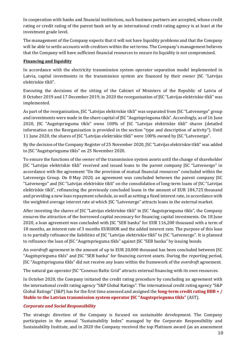In cooperation with banks and financial institutions, such business partners are accepted, whose credit rating or credit rating of the parent bank set by an international credit rating agency is at least at the investment grade level.

The management of the Company expects that it will not have liquidity problems and that the Company will be able to settle accounts with creditors within the set terms. The Company's management believes that the Company will have sufficient financial resources to ensure its liquidity is not compromised.

#### **Financing and liquidity**

In accordance with the electricity transmission system operator separation model implemented in Latvia, capital investments in the transmission system are financed by their owner JSC "Latvijas elektriskie tīkli".

Executing the decisions of the sitting of the Cabinet of Ministers of the Republic of Latvia of 8 October 2019 and 17 December 2019, in 2020 the reorganisation of JSC "Latvijas elektriskie tīkli" was implemented.

As part of the reorganisation, JSC "Latvijas elektriskie tīkli" was separated from JSC "Latvenergo" group and investments were made in the share capital of JSC "Augstsprieguma tīkls". Accordingly, as of 16 June 2020, JSC "Augstsprieguma tīkls" owns 100% of JSC "Latvijas elektriskie tīkli" shares (detailed information on the Reorganisation is provided in the section "type and description of activity"). Until 11 June 2020, the shares of JSC "Latvijas elektriskie tīkli" were 100% owned by JSC "Latvenergo".

By the decision of the Company Register of 25 November 2020, JSC "Latvijas elektriskie tīkli" was added to JSC "Augstsprieguma tīkls" on 25 November 2020.

To ensure the functions of the owner of the transmission system assets until the change of shareholder JSC "Latvijas elektriskie tīkli" received and issued loans to the parent company JSC "Latvenergo" in accordance with the agreement "On the provision of mutual financial resources" concluded within the Latvenergo Group. On 8 May 2020, an agreement was concluded between the parent company JSC "Latvenergo" and JSC "Latvijas elektriskie tīkli" on the consolidation of long-term loans of JSC "Latvijas elektriskie tīkli", refinancing the previously concluded loans in the amount of EUR 184,725 thousand and providing a new loan repayment schedule, as well as setting a fixed interest rate, in accordance with the weighted average interest rate at which JSC "Latvenergo" attracts loans in the external market.

After investing the shares of JSC "Latvijas elektriskie tīkli" in JSC "Augstsprieguma tīkls", the Company ensures the attraction of the borrowed capital necessary for financing capital investments. On 18 June 2020, a loan agreement was concluded with JSC "SEB banka" for EUR 116,200 thousand with a term of 18 months, an interest rate of 3 months EURIBOR and the added interest rate. The purpose of this loan is to partially refinance the liabilities of JSC "Latvijas elektriskie tīkli" to JSC "Latvenergo". It is planned to refinance the loan of JSC "Augstsprieguma tīkls" against JSC "SEB banka" by issuing bonds.

An *overdraft* agreement in the amount of up to EUR 20,000 thousand has been concluded between JSC "Augstsprieguma tīkls" and JSC "SEB banka" for financing current assets. During the reporting period, JSC "Augstsprieguma tīkls" did not receive any loans within the framework of the *overdraft* agreement.

The natural gas operator JSC "Conexus Baltic Grid" attracts external financing with its own resources.

In October 2020, the Company initiated the credit rating procedure by concluding an agreement with the international credit rating agency "S&P Global Ratings". The international credit rating agency "S&P Global Ratings" (S&P) has for the first time assessed and assigned the **long-term credit rating BBB + / Stable to the Latvian transmission system operator JSC "Augstsprieguma tīkls"** (AST).

#### *Corporate and Social Responsibility*

The strategic direction of the Company is focused on sustainable development. The Company participates in the annual "Sustainability Index" managed by the Corporate Responsibility and Sustainability Institute, and in 2020 the Company received the top Platinum award (as an assessment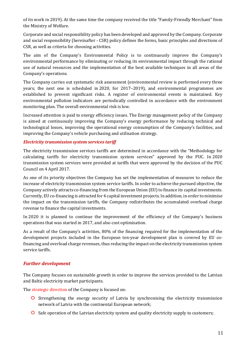of its work in 2019). At the same time the company received the title "Family-Friendly Merchant" from the Ministry of Welfare.

Corporate and social responsibility policy has been developed and approved by the Company. Corporate and social responsibility (hereinafter - CSR) policy defines the forms, basic principles and directions of CSR, as well as criteria for choosing activities.

The aim of the Company's Environmental Policy is to continuously improve the Company's environmental performance by eliminating or reducing its environmental impact through the rational use of natural resources and the implementation of the best available techniques in all areas of the Company's operations.

The Company carries out systematic risk assessment (environmental review is performed every three years; the next one is scheduled in 2020, for 2017–2019), and environmental programmes are established to prevent significant risks. A register of environmental events is maintained. Key environmental pollution indicators are periodically controlled in accordance with the environment monitoring plan. The overall environmental risk is low.

Increased attention is paid to energy efficiency issues. The Energy management policy of the Company is aimed at continuously improving the Company's energy performance by reducing technical and technological losses, improving the operational energy consumption of the Company's facilities, and improving the Company's vehicle purchasing and utilisation strategy.

#### *Electricity transmission system services tariff*

The electricity transmission services tariffs are determined in accordance with the "Methodology for calculating tariffs for electricity transmission system services" approved by the PUC. In 2020 transmission system services were provided at tariffs that were approved by the decision of the PUC Council on 4 April 2017.

As one of its priority objectives the Company has set the implementation of measures to reduce the increase of electricity transmission system service tariffs. In order to achieve the pursued objective, the Company actively attracts co-financing from the European Union (EU) to finance its capital investments. Currently, EU co-financing is attracted for 4 capital investment projects. In addition, in order to minimise the impact on the transmission tariffs, the Company redistributes the accumulated overload charge revenue to finance the capital investments.

In 2020 it is planned to continue the improvement of the efficiency of the Company's business operations that was started in 2017, and also cost optimisation.

As a result of the Company's activities, 80% of the financing required for the implementation of the development projects included in the European ten-year development plan is covered by EU cofinancing and overload charge revenues, thus reducing the impact on the electricity transmission system service tariffs.

#### *Further development*

The Company focuses on sustainable growth in order to improve the services provided to the Latvian and Baltic electricity market participants.

The strategic direction of the Company is focused on:

- **O** Strengthening the energy security of Latvia by synchronising the electricity transmission network of Latvia with the continental European network;
- **O** Safe operation of the Latvian electricity system and quality electricity supply to customers;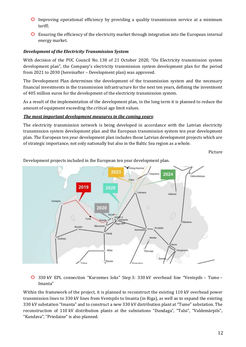- Improving operational efficiency by providing a quality transmission service at a minimum tariff;
- Ensuring the efficiency of the electricity market through integration into the European internal energy market.

#### *Development of the Electricity Transmission System*

With decision of the PUC Council No. 138 of 21 October 2020, "On Electricity transmission system development plan", the Company's electricity transmission system development plan for the period from 2021 to 2030 (hereinafter – Development plan) was approved.

The Development Plan determines the development of the transmission system and the necessary financial investments in the transmission infrastructure for the next ten years, defining the investment of 405 million euros for the development of the electricity transmission system.

As a result of the implementation of the development plan, in the long term it is planned to reduce the amount of equipment exceeding the critical age limit values.

#### *The most important development measures in the coming years*:

The electricity transmission network is being developed in accordance with the Latvian electricity transmission system development plan and the European transmission system ten year development plan. The European ten year development plan includes those Latvian development projects which are of strategic importance, not only nationally but also in the Baltic Sea region as a whole.

Picture



Development projects included in the European ten year development plan.

330 kV EPL connection "Kurzemes loks" Step 3: 330 kV overhead line "Ventspils – Tume – Imanta"

Within the framework of the project, it is planned to reconstruct the existing 110 kV overhead power transmission lines to 330 kV lines from Ventspils to Imanta (in Riga), as well as to expand the existing 330 kV substation "Imanta" and to construct a new 330 kV distribution plant at "Tume" substation. The reconstruction of 110 kV distribution plants at the substations "Dundaga", "Talsi", "Valdemārpils", "Kandava", "Priedaine" is also planned.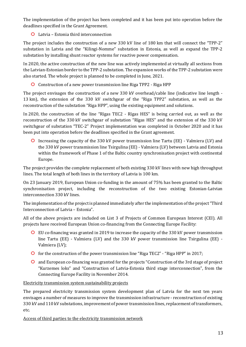The implementation of the project has been completed and it has been put into operation before the deadlines specified in the Grant Agreement.

### Latvia – Estonia third interconnection

The project includes the construction of a new 330 kV line of 180 km that will connect the "TPP-2" substation in Latvia and the "Kilingi-Nomme" substation in Estonia, as well as expand the TPP-2 substation by installing shunt reactor systems for reactive power compensation.

In 2020, the active construction of the new line was actively implemented at virtually all sections from the Latvian-Estonian border to the TPP-2 substation. The expansion works of the TPP-2 substation were also started. The whole project is planned to be completed in June, 2021.

**O** Construction of a new power transmission line Riga TPP2 - Riga HPP

The project envisages the construction of a new 330 kV overhead/cable line (indicative line length - 13 km), the extension of the 330 kV switchgear of the "Riga TPP2" substation, as well as the reconstruction of the substation "Riga HPP", using the existing equipment and solutions.

In 2020, the construction of the line "Rīgas TEC2 - Rīgas HES" is being carried out, as well as the reconstruction of the 330 kV switchgear of substation "Rīgas HES" and the extension of the 330 kV switchgear of substation "TEC-2" Project implementation was completed in October 2020 and it has been put into operation before the deadlines specified in the Grant agreement.

Increasing the capacity of the 330 kV power transmission line Tartu (EE) - Valmiera (LV) and the 330 kV power transmission line Tsirgulina (EE) - Valmiera (LV) between Latvia and Estonia within the framework of Phase 1 of the Baltic country synchronisation project with continental Europe.

The project provides the complete replacement of both existing 330 kV lines with new high throughput lines. The total length of both lines in the territory of Latvia is 100 km.

On 23 January 2019, European Union co-funding in the amount of 75% has been granted to the Baltic synchronisation project, including the reconstruction of the two existing Estonian-Latvian interconnection 330 kV lines.

The implementation of the project is planned immediately after the implementation of the project "Third Interconnection of Latvia – Estonia".

All of the above projects are included on List 3 of Projects of Common European Interest (CEI). All projects have received European Union co-financing from the Connecting Europe Facility:

- EU co-financing was granted in 2019 to increase the capacity of the 330 kV power transmission line Tartu (EE) - Valmiera (LV) and the 330 kV power transmission line Tsirgulina (EE) - Valmiera (LV);
- **O** for the construction of the power transmission line "Riga TEC2" "Riga HPP" in 2017;
- and European co-financing was granted for the projects "Construction of the 3rd stage of project "Kurzemes loks" and "Construction of Latvia-Estonia third stage interconnection", from the Connecting Europe Facility in November 2014.

#### Electricity transmission system sustainability projects

The prepared electricity transmission system development plan of Latvia for the next ten years envisages a number of measures to improve the transmission infrastructure - reconstruction of existing 330 kV and 110 kV substations, improvement of power transmission lines, replacement of transformers, etc.

Access of third parties to the electricity transmission network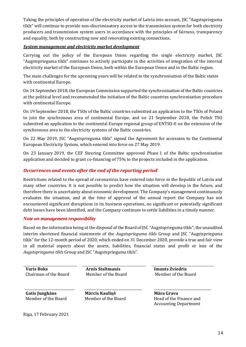Taking the principles of operation of the electricity market of Latvia into account, JSC "Augstsprieguma tīkls" will continue to provide non-discriminatory access to the transmission system for both electricity producers and transmission system users in accordance with the principles of fairness, transparency and equality, both by constructing new and renovating existing connections.

#### *System management and electricity market development*

Carrying out the policy of the European Union regarding the single electricity market, JSC "Augstsprieguma tīkls" continues to actively participate in the activities of integration of the internal electricity market of the European Union, both within the European Union and in the Baltic region.

The main challenges for the upcoming years will be related to the synchronisation of the Baltic states with continental Europe.

On 14 September 2018, the European Commission supported the synchronisation of the Baltic countries at the political level and recommended the initiation of the Baltic countries synchronisation procedure with continental Europe.

On 19 September 2018, the TSOs of the Baltic countries submitted an application to the TSOs of Poland to join the synchronous area of continental Europe, and on 21 September 2018, the Polish TSO submitted an application to the continental Europe regional group of ENTSO-E on the extension of the synchronous area to the electricity systems of the Baltic countries.

On 22 May 2019, JSC "Augstsprieguma tīkls" signed the Agreement for accession to the Continental European Electricity System, which entered into force on 27 May 2019.

On 23 January 2019, the CEF Steering Committee approved Phase 1 of the Baltic synchronisation application and decided to grant co-financing of 75% to the projects included in the application.

### *Occurrences and events after the end of the reporting period*

Restrictions related to the spread of coronavirus have entered into force in the Republic of Latvia and many other countries. It is not possible to predict how the situation will develop in the future, and therefore there is uncertainty about economic development. The Company's management continuously evaluates the situation, and at the time of approval of the annual report the Company has not encountered significant disruptions in its business operations, no significant or potentially significant debt losses have been identified, and the Company continues to settle liabilities in a timely manner.

#### *Note on management responsibility*

Based on the information being at the disposal of the Board of JSC "Augstsprieguma tīkls", the unaudited interim shortened financial statements of the *Augstsprieguma tīkls* Group and JSC "Augstsprieguma tīkls" for the 12-month period of 2020, which ended on 31 December 2020, provide a true and fair view in all material aspects about the assets, liabilities, financial status and profit or loss of the *Augstsprieguma tīkls* Group and JSC "Augstsprieguma tīkls".

**Varis Boks Arnis Staltmanis Imants Zviedris** Chairman of the Board Member of the Board Member of the Board

**Gatis Junghāns** Member of the Board

\_\_\_\_\_\_\_\_\_\_\_\_\_\_\_\_\_\_\_\_\_\_\_\_\_\_\_\_\_

**Mārcis Kauliņš** Member of the Board

\_\_\_\_\_\_\_\_\_\_\_\_\_\_\_\_\_\_\_\_\_\_\_\_\_\_\_\_\_\_\_\_\_\_

**Māra Grava** Head of the Finance and Accounting Department

\_\_\_\_\_\_\_\_\_\_\_\_\_\_\_\_\_\_\_\_\_\_\_\_\_\_\_\_\_\_\_\_\_\_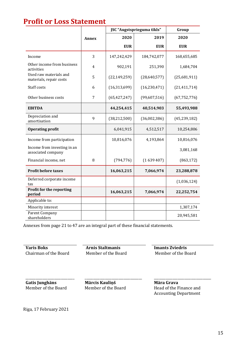## **Profit or Loss Statement**

|                                                   |              | JSC "Augstsprieguma tīkls" | Group          |                |
|---------------------------------------------------|--------------|----------------------------|----------------|----------------|
|                                                   | <b>Annex</b> | 2020                       | 2019           | 2020           |
|                                                   |              | <b>EUR</b>                 | <b>EUR</b>     | <b>EUR</b>     |
| Income                                            | 3            | 147,242,429                | 184,742,077    | 168,655,685    |
| Other income from business<br>activities          | 4            | 902,191                    | 251,390        | 1,684,704      |
| Used raw materials and<br>materials, repair costs | 5            | (22, 149, 259)             | (28,640,577)   | (25,681,911)   |
| Staff costs                                       | 6            | (16, 313, 699)             | (16, 230, 471) | (21, 411, 714) |
| Other business costs                              | 7            | (65, 427, 247)             | (99,607,516)   | (67, 752, 776) |
| <b>EBITDA</b>                                     |              | 44,254,415                 | 40,514,903     | 55,493,988     |
| Depreciation and<br>amortisation                  | 9            | (38, 212, 500)             | (36,002,386)   | (45, 239, 182) |
| <b>Operating profit</b>                           |              | 6,041,915                  | 4,512,517      | 10,254,806     |
| Income from participation                         |              | 10,816,076                 | 4,193,864      | 10,816,076     |
| Income from investing in an<br>associated company |              |                            |                | 3,081,168      |
| Financial income, net                             | 8            | (794, 776)                 | (1639407)      | (863, 172)     |
| <b>Profit before taxes</b>                        |              | 16,063,215                 | 7,066,974      | 23,288,878     |
| Deferred corporate income<br>tax                  |              |                            |                | (1,036,124)    |
| Profit for the reporting<br>period                |              | 16,063,215                 | 7,066,974      | 22,252,754     |
| Applicable to:                                    |              |                            |                |                |
| Minority interest                                 |              |                            |                | 1,307,174      |
| Parent Company<br>shareholders                    |              |                            |                | 20,945,581     |

Annexes from page 21 to 47 are an integral part of these financial statements.

**Varis Boks**<br> **Arnis Staltmanis**<br> **Chairman of the Board**<br> **Arnis Staltmanis**<br> **Arnis Staltmanis**<br> **Chairman of the Board**<br> **Alternative Board**<br> **Alternative Board**<br> **Alternative Board** Chairman of the Board

**Gatis Junghāns** Member of the Board

\_\_\_\_\_\_\_\_\_\_\_\_\_\_\_\_\_\_\_\_\_\_\_\_\_\_\_\_\_

\_\_\_\_\_\_\_\_\_\_\_\_\_\_\_\_\_\_\_\_\_\_\_\_\_\_\_\_\_\_\_\_\_\_ **Mārcis Kauliņš** Member of the Board

**Māra Grava** Head of the Finance and Accounting Department

\_\_\_\_\_\_\_\_\_\_\_\_\_\_\_\_\_\_\_\_\_\_\_\_\_\_\_\_\_\_\_\_\_\_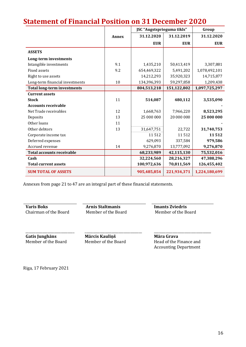|                                    |              | JSC "Augstsprieguma tīkls" |             | Group         |
|------------------------------------|--------------|----------------------------|-------------|---------------|
|                                    | <b>Annex</b> | 31.12.2020                 | 31.12.2019  | 31.12.2020    |
|                                    |              | <b>EUR</b>                 | <b>EUR</b>  | <b>EUR</b>    |
| <b>ASSETS</b>                      |              |                            |             |               |
| Long-term investments              |              |                            |             |               |
| Intangible investments             | 9.1          | 1,435,210                  | 50,413,419  | 3,307,881     |
| <b>Fixed assets</b>                | 9.2          | 654,469,322                | 5,491,202   | 1,078,492,101 |
| Right to use assets                |              | 14,212,293                 | 35,920,323  | 14,715,877    |
| Long-term financial investments    | 10           | 134,396,393                | 59,297,858  | 1,209,438     |
| <b>Total long-term investments</b> |              | 804,513,218                | 151,122,802 | 1,097,725,297 |
| <b>Current assets</b>              |              |                            |             |               |
| <b>Stock</b>                       | 11           | 514,087                    | 480,112     | 3,535,090     |
| <b>Accounts receivable</b>         |              |                            |             |               |
| Net Trade receivables              | 12           | 1,668,763                  | 7,966,220   | 8,523,295     |
| Deposits                           | 13           | 25 000 000                 | 20 000 000  | 25 000 000    |
| Other loans                        | 11           |                            |             |               |
| Other debtors                      | 13           | 31,647,751                 | 22,722      | 31,740,753    |
| Corporate income tax               |              | 11512                      | 11512       | 11512         |
| Deferred expenses                  |              | 629,093                    | 337,584     | 979,586       |
| Accrued revenue                    | 14           | 9,276,870                  | 13,777,092  | 9,276,870     |
| <b>Total accounts receivable</b>   |              | 68,233,989                 | 42,115,130  | 75,532,016    |
| Cash                               |              | 32,224,560                 | 28,216,327  | 47,388,296    |
| <b>Total current assets</b>        |              | 100,972,636                | 70,811,569  | 126,455,402   |
| <b>SUM TOTAL OF ASSETS</b>         |              | 905,485,854                | 221,934,371 | 1,224,180,699 |

## **Statement of Financial Position on 31 December 2020**

Annexes from page 21 to 47 are an integral part of these financial statements.

**Varis Boks**<br> **Arnis Staltmanis**<br> **Chairman of the Board**<br> **Arnis Staltmanis**<br> **Arnis Staltmanis**<br> **Imants Zviedris**<br> **Member of the Board**<br> **Member of the Board** 

Member of the Board Member of the Board

**Gatis Junghāns** Member of the Board

\_\_\_\_\_\_\_\_\_\_\_\_\_\_\_\_\_\_\_\_\_\_\_\_\_\_\_\_\_

\_\_\_\_\_\_\_\_\_\_\_\_\_\_\_\_\_\_\_\_\_\_\_\_\_\_\_\_\_\_\_\_\_\_ **Mārcis Kauliņš** Member of the Board

\_\_\_\_\_\_\_\_\_\_\_\_\_\_\_\_\_\_\_\_\_\_\_\_\_\_\_\_\_\_\_\_\_\_ **Māra Grava** Head of the Finance and Accounting Department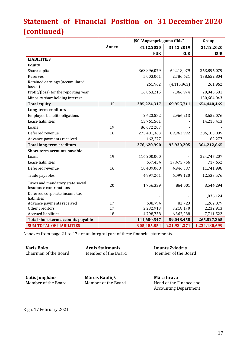# **Statement of Financial Position on 31 December 2020 (continued)**

|                                                             |       | JSC "Augstsprieguma tīkls" |               | Group         |
|-------------------------------------------------------------|-------|----------------------------|---------------|---------------|
|                                                             | Annex | 31.12.2020                 | 31.12.2019    | 31.12.2020    |
|                                                             |       | <b>EUR</b>                 | <b>EUR</b>    | <b>EUR</b>    |
| <b>LIABILITIES</b>                                          |       |                            |               |               |
| <b>Equity</b>                                               |       |                            |               |               |
| Share capital                                               |       | 363,896,079                | 64,218,079    | 363,896,079   |
| Reserves                                                    |       | 5,003,061                  | 2,786,621     | 138,652,804   |
| Retained earnings (accumulated<br>losses)                   |       | 261,962                    | (4, 115, 963) | 261,962       |
| Profit/(loss) for the reporting year                        |       | 16,063,215                 | 7,066,974     | 20,945,581    |
| Minority shareholding interest                              |       |                            |               | 130,684,043   |
| <b>Total equity</b>                                         | 15    | 385,224,317                | 69,955,711    | 654,440,469   |
| <b>Long-term creditors</b>                                  |       |                            |               |               |
| Employee benefit obligations                                |       | 2,623,582                  | 2,966,213     | 3,652,076     |
| Lease liabilities                                           |       | 13,761,561                 |               | 14,215,413    |
| Loans                                                       | 19    | 86 672 207                 |               |               |
| Deferred revenue                                            | 16    | 275,401,363                | 89,963,992    | 286,183,099   |
| Advance payments received                                   |       | 162,277                    |               | 162,277       |
| <b>Total long-term creditors</b>                            |       | 378,620,990                | 92,930,205    | 304,212,865   |
| Short-term accounts payable                                 |       |                            |               |               |
| Loans                                                       | 19    | 116,200,000                |               | 224,747,207   |
| Lease liabilities                                           |       | 657,434                    | 37,475,766    | 717,652       |
| Deferred revenue                                            | 16    | 10,489,068                 | 4,946,387     | 11,741,998    |
| Trade payables                                              |       | 4,897,261                  | 6,099,120     | 12,533,576    |
| Taxes and mandatory state social<br>insurance contributions | 20    | 1,756,339                  | 864,001       | 3,544,294     |
| Deferred corporate income tax<br>liabilities                |       |                            |               | 1,036,124     |
| Advance payments received                                   | 17    | 608,794                    | 82,723        | 1,262,079     |
| Other creditors                                             | 17    | 2,232,913                  | 3,218,170     | 2,232,913     |
| <b>Accrued liabilities</b>                                  | 18    | 4,798,738                  | 6,362,288     | 7,711,522     |
| Total short-term accounts payable                           |       | 141,650,547                | 59,048,455    | 265,527,365   |
| <b>SUM TOTAL OF LIABILITIES</b>                             |       | 905,485,854                | 221,934,371   | 1,224,180,699 |

Annexes from page 21 to 47 are an integral part of these financial statements.

**Varis Boks Arnis Staltmanis Imants Zviedris** Chairman of the Board Member of the Board Member of the Board \_\_\_\_\_\_\_\_\_\_\_\_\_\_\_\_\_\_\_\_\_\_\_\_\_\_\_\_\_ **Gatis Junghāns** Member of the Board \_\_\_\_\_\_\_\_\_\_\_\_\_\_\_\_\_\_\_\_\_\_\_\_\_\_\_\_\_\_\_\_\_\_ **Mārcis Kauliņš** Member of the Board \_\_\_\_\_\_\_\_\_\_\_\_\_\_\_\_\_\_\_\_\_\_\_\_\_\_\_\_\_\_\_\_\_\_ **Māra Grava** Head of the Finance and

Riga, 17 February 2021

17

Accounting Department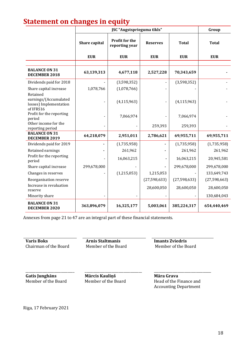## **Statement on changes in equity**

|                                                                          |               | Group                                   |                 |                |                |
|--------------------------------------------------------------------------|---------------|-----------------------------------------|-----------------|----------------|----------------|
|                                                                          | Share capital | <b>Profit for the</b><br>reporting year | <b>Reserves</b> | <b>Total</b>   | <b>Total</b>   |
|                                                                          | <b>EUR</b>    | <b>EUR</b>                              | <b>EUR</b>      | <b>EUR</b>     | <b>EUR</b>     |
|                                                                          |               |                                         |                 |                |                |
| <b>BALANCE ON 31</b><br>DECEMBER 2018                                    | 63,139,313    | 4,677,118                               | 2,527,228       | 70,343,659     |                |
| Dividends paid for 2018                                                  |               | (3,598,352)                             |                 | (3,598,352)    |                |
| Share capital increase                                                   | 1,078,766     | (1,078,766)                             |                 |                |                |
| Retained<br>earnings/(Accumulated<br>losses) Implementation<br>of IFRS16 |               | (4, 115, 963)                           |                 | (4, 115, 963)  |                |
| Profit for the reporting                                                 |               | 7,066,974                               |                 | 7,066,974      |                |
| period<br>Other income for the<br>reporting period                       |               |                                         | 259,393         | 259,393        |                |
| <b>BALANCE ON 31</b><br>DECEMBER 2019                                    | 64,218,079    | 2,951,011                               | 2,786,621       | 69,955,711     | 69,955,711     |
| Dividends paid for 2019                                                  |               | (1,735,958)                             |                 | (1,735,958)    | (1,735,958)    |
| Retained earnings                                                        |               | 261,962                                 |                 | 261,962        | 261,962        |
| Profit for the reporting<br>period                                       |               | 16,063,215                              |                 | 16,063,215     | 20,945,581     |
| Share capital increase                                                   | 299,678,000   |                                         |                 | 299,678,000    | 299,678,000    |
| Changes in reserves                                                      |               | (1,215,053)                             | 1,215,053       |                | 133,649,743    |
| Reorganisation reserve                                                   |               |                                         | (27, 598, 633)  | (27, 598, 633) | (27, 598, 663) |
| Increase in revaluation<br>reserve                                       |               |                                         | 28,600,050      | 28,600,050     | 28,600,050     |
| Minority share                                                           |               |                                         |                 |                | 130,684,043    |
| <b>BALANCE ON 31</b><br>DECEMBER 2020                                    | 363,896,079   | 16,325,177                              | 5,003,061       | 385,224,317    | 654,440,469    |

Annexes from page 21 to 47 are an integral part of these financial statements.

**Varis Boks**<br> **Arnis Staltmanis**<br> **Chairman of the Board**<br> **Member of the Board**<br> **Member of the Board** Chairman of the Board

**Gatis Junghāns** Member of the Board

\_\_\_\_\_\_\_\_\_\_\_\_\_\_\_\_\_\_\_\_\_\_\_\_\_\_\_\_\_

**Mārcis Kauliņš** Member of the Board

\_\_\_\_\_\_\_\_\_\_\_\_\_\_\_\_\_\_\_\_\_\_\_\_\_\_\_\_\_\_\_\_\_\_

**Māra Grava** Head of the Finance and Accounting Department

\_\_\_\_\_\_\_\_\_\_\_\_\_\_\_\_\_\_\_\_\_\_\_\_\_\_\_\_\_\_\_\_\_\_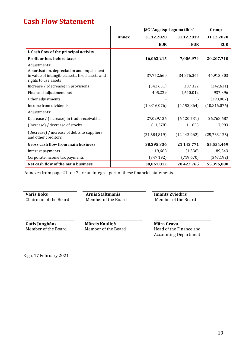## **Cash Flow Statement**

|                                                                                                                      |              | JSC "Augstsprieguma tīkls" | Group         |              |
|----------------------------------------------------------------------------------------------------------------------|--------------|----------------------------|---------------|--------------|
|                                                                                                                      | <b>Annex</b> | 31.12.2020                 | 31.12.2019    | 31.12.2020   |
|                                                                                                                      |              | <b>EUR</b>                 | <b>EUR</b>    | <b>EUR</b>   |
| I. Cash flow of the principal activity                                                                               |              |                            |               |              |
| <b>Profit or loss before taxes</b>                                                                                   |              | 16,063,215                 | 7,006,974     | 20,207,710   |
| Adjustments:                                                                                                         |              |                            |               |              |
| Amortisation, depreciation and impairment<br>in value of intangible assets, fixed assets and<br>rights to use assets |              | 37,752,660                 | 34,876,365    | 44,913,303   |
| Increase / (decrease) in provisions                                                                                  |              | (342, 631)                 | 307322        | (342, 631)   |
| Financial adjustment, net                                                                                            |              | 405,229                    | 1,640,012     | 937,396      |
| Other adjustments                                                                                                    |              |                            |               | (398, 807)   |
| Income from dividends                                                                                                |              | (10,816,076)               | (4, 193, 864) | (10,816,076) |
| Adjustments:                                                                                                         |              |                            |               |              |
| Decrease / (increase) in trade receivables                                                                           |              | 27,029,136                 | (6120731)     | 26,768,687   |
| (Increase) / decrease of stocks                                                                                      |              | (11, 378)                  | 11655         | 17,993       |
| (Decrease) / increase of debts to suppliers<br>and other creditors                                                   |              | (31,684,819)               | (12443962)    | (25,733,126) |
| <b>Gross cash flow from main business</b>                                                                            |              | 38,395,336                 | 21 143 771    | 55,554,449   |
| Interest payments                                                                                                    |              | 19,668                     | (1336)        | 189,543      |
| Corporate income tax payments                                                                                        |              | (347, 192)                 | (719, 670)    | (347, 192)   |
| Net cash flow of the main business                                                                                   |              | 38,067,812                 | 20422765      | 55,396,800   |

Annexes from page 21 to 47 are an integral part of these financial statements.

Chairman of the Board

**Varis Boks**<br> **Arnis Staltmanis**<br> **Chairman of the Board**<br> **Arnis Staltmanis**<br> **Arnis Staltmanis**<br> **Imants Zviedris**<br> **Member of the Board**<br> **Member of the Board** 

**Gatis Junghāns** Member of the Board

\_\_\_\_\_\_\_\_\_\_\_\_\_\_\_\_\_\_\_\_\_\_\_\_\_\_\_\_\_

**Mārcis Kauliņš** Member of the Board

\_\_\_\_\_\_\_\_\_\_\_\_\_\_\_\_\_\_\_\_\_\_\_\_\_\_\_\_\_\_\_\_\_\_

**Māra Grava** Head of the Finance and Accounting Department

\_\_\_\_\_\_\_\_\_\_\_\_\_\_\_\_\_\_\_\_\_\_\_\_\_\_\_\_\_\_\_\_\_\_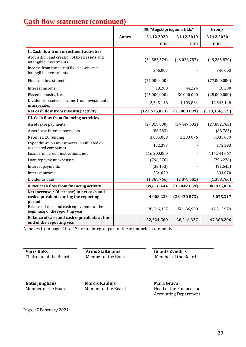## **Cash flow statement (continued)**

|                                                                                              |              | JSC "Augstsprieguma tīkls" |               | Group           |
|----------------------------------------------------------------------------------------------|--------------|----------------------------|---------------|-----------------|
|                                                                                              | <b>Annex</b> | 31.12.2020                 | 31.12.2019    | 31.12.2020      |
|                                                                                              |              | <b>EUR</b>                 | <b>EUR</b>    | <b>EUR</b>      |
| II. Cash flow from investment activities                                                     |              |                            |               |                 |
| Acquisition and creation of fixed assets and<br>intangible investments                       |              | (34, 585, 374)             | (48,038,787)  | (49, 265, 870)  |
| Income from the sale of fixed assets and<br>intangible investments                           |              | 346,003                    |               | 346,003         |
| Financial investment                                                                         |              | (77,000,000)               |               | (77,000,000)    |
| Interest income                                                                              |              | 18,200                     | 44,224        | 18,200          |
| Placed deposits, Net                                                                         |              | (25,000,000)               | 30 000 000    | (25,000,000)    |
| Dividends received, income from investments<br>in associates                                 |              | 12,545,148                 | 4,193,864     | 12,545,148      |
| Net cash flow from investing activity                                                        |              | (123, 676, 023)            | (13800699)    | (138, 356, 519) |
| III. Cash flow from financing activities                                                     |              |                            |               |                 |
| Asset lease payments                                                                         |              | (27,818,080)               | (34447033)    | (27, 882, 763)  |
| Asset lease interest payments                                                                |              | (88, 783)                  |               | (88, 783)       |
| Received EU funding                                                                          |              | 3,035,039                  | 2 2 8 3 0 7 6 | 3,035,039       |
| Expenditure on investments in affiliated or<br>associated companies                          |              | 172,393                    |               | 172,393         |
| Loans from credit institutions, net                                                          |              | 116,200,000                |               | 114,741,667     |
| Loan repayment expenses                                                                      |              | (796, 276)                 |               | (796, 276)      |
| Interest payments                                                                            |              | (33, 153)                  |               | (91, 545)       |
| Interest income                                                                              |              | 334,070                    |               | 334,070         |
| Dividends paid                                                                               |              | (1,388,766)                | (2878682)     | (1,388,766)     |
| 8. Net cash flow from financing activity.                                                    |              | 89,616,444                 | (35042639)    | 88,035,036      |
| Net increase / (decrease) in net cash and<br>cash equivalents during the reporting<br>period |              | 4 008 233                  | (28420573)    | 5,075,317       |
| Balance of cash and cash equivalents at the<br>beginning of the reporting year               |              | 28,216,327                 | 56,636,900    | 42,312,979      |
| Balance of cash and cash equivalents at the<br>end of the reporting year                     |              | 32,224,560                 | 28,216,327    | 47,388,296      |

Annexes from page 21 to 47 are an integral part of these financial statements.

**Varis Boks Arnis Staltmanis Imants Zviedris**

Chairman of the Board Member of the Board Member of the Board

**Gatis Junghāns** Member of the Board

\_\_\_\_\_\_\_\_\_\_\_\_\_\_\_\_\_\_\_\_\_\_\_\_\_\_\_\_\_

\_\_\_\_\_\_\_\_\_\_\_\_\_\_\_\_\_\_\_\_\_\_\_\_\_\_\_\_\_\_ **Mārcis Kauliņš** Member of the Board

**Māra Grava** Head of the Finance and Accounting Department

\_\_\_\_\_\_\_\_\_\_\_\_\_\_\_\_\_\_\_\_\_\_\_\_\_\_\_\_\_\_\_\_\_\_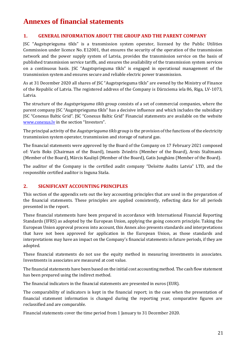## **Annexes of financial statements**

### **1. GENERAL INFORMATION ABOUT THE GROUP AND THE PARENT COMPANY**

JSC "Augstsprieguma tīkls" is a transmission system operator, licensed by the Public Utilities Commission under licence No. E12001, that ensures the security of the operation of the transmission network and the power supply system of Latvia, provides the transmission service on the basis of published transmission service tariffs, and ensures the availability of the transmission system services on a continuous basis. JSC "Augstsprieguma tīkls" is engaged in operational management of the transmission system and ensures secure and reliable electric power transmission.

As at 31 December 2020 all shares of JSC "Augstsprieguma tīkls" are owned by the Ministry of Finance of the Republic of Latvia. The registered address of the Company is Dārzciema iela 86, Riga, LV-1073, Latvia.

The structure of the *Augstsprieguma tīkls* group consists of a set of commercial companies, where the parent company JSC "Augstsprieguma tīkls" has a decisive influence and which includes the subsidiary JSC "Conexus Baltic Grid". JSC "Conexus Baltic Grid" Financial statements are available on the website [www.conexus.lv](http://www.conexus.lv/) in the section "Investors".

The principal activity of the *Augstsprieguma tīkls* group is the provision of the functions of the electricity transmission system operator, transmission and storage of natural gas.

The financial statements were approved by the Board of the Company on 17 February 2021 composed of: Varis Boks (Chairman of the Board), Imants Zviedris (Member of the Board), Arnis Staltmanis (Member of the Board), Mārcis Kauliņš (Member of the Board), Gatis Junghāns (Member of the Board).

The auditor of the Company is the certified audit company "Deloitte Audits Latvia" LTD, and the responsible certified auditor is Inguna Staša.

#### **2. SIGNIFICANT ACCOUNTING PRINCIPLES**

This section of the appendix sets out the key accounting principles that are used in the preparation of the financial statements. These principles are applied consistently, reflecting data for all periods presented in the report.

These financial statements have been prepared in accordance with International Financial Reporting Standards (IFRS) as adopted by the European Union, applying the going concern principle. Taking the European Union approval process into account, this Annex also presents standards and interpretations that have not been approved for application in the European Union, as those standards and interpretations may have an impact on the Company's financial statements in future periods, if they are adopted.

These financial statements do not use the equity method in measuring investments in associates. Investments in associates are measured at cost value.

The financial statements have been based on the initial cost accounting method. The cash flow statement has been prepared using the indirect method.

The financial indicators in the financial statements are presented in euros (EUR).

The comparability of indicators is kept in the financial report; in the case when the presentation of financial statement information is changed during the reporting year, comparative figures are reclassified and are comparable.

Financial statements cover the time period from 1 January to 31 December 2020.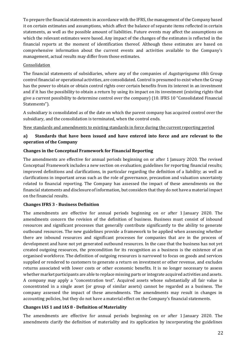To prepare the financial statements in accordance with the IFRS, the management of the Company based it on certain estimates and assumptions, which affect the balance of separate items reflected in certain statements, as well as the possible amount of liabilities. Future events may affect the assumptions on which the relevant estimates were based. Any impact of the changes of the estimates is reflected in the financial reports at the moment of identification thereof. Although these estimates are based on comprehensive information about the current events and activities available to the Company's management, actual results may differ from those estimates.

#### **Consolidation**

The financial statements of subsidiaries, where any of the companies of *Augstsprieguma tīkls* Group control financial or operational activities, are consolidated. Control is presumed to exist when the Group has the power to obtain or obtain control rights over certain benefits from its interest in an investment and if it has the possibility to obtain a return by using its impact on its investment (existing rights that give a current possibility to determine control over the company) (10. IFRS 10 "Consolidated Financial Statements").

A subsidiary is consolidated as of the date on which the parent company has acquired control over the subsidiary, and the consolidation is terminated, when the control ends.

#### New standards and amendments to existing standards in force during the current reporting period

#### **a) Standards that have been issued and have entered into force and are relevant to the operation of the Company**

#### **Changes in the Conceptual Framework for Financial Reporting**

The amendments are effective for annual periods beginning on or after 1 January 2020. The revised Conceptual Framework includes a new section on evaluation; guidelines for reporting financial results; improved definitions and clarifications, in particular regarding the definition of a liability; as well as clarifications in important areas such as the role of governance, precaution and valuation uncertainty related to financial reporting. The Company has assessed the impact of these amendments on the financial statements and disclosure of information, but considers that they do not have a material impact on the financial results.

#### **Changes IFRS 3 - Business Definition**

The amendments are effective for annual periods beginning on or after 1 January 2020. The amendments concern the revision of the definition of business. Business must consist of inbound resources and significant processes that generally contribute significantly to the ability to generate outbound resources. The new guidelines provide a framework to be applied when assessing whether there are inbound resources and significant processes for companies that are in the process of development and have not yet generated outbound resources. In the case that the business has not yet created outgoing resources, the precondition for its recognition as a business is the existence of an organised workforce. The definition of outgoing resources is narrowed to focus on goods and services supplied or rendered to customers to generate a return on investment or other revenue, and excludes returns associated with lower costs or other economic benefits. It is no longer necessary to assess whether market participants are able to replace missing parts or integrate acquired activities and assets. A company may apply a "concentration test". Acquired assets whose substantially all fair value is concentrated in a single asset (or group of similar assets) cannot be regarded as a business. The company assessed the impact of these amendments. The amendments may result in changes in accounting policies, but they do not have a material effect on the Company's financial statements.

#### **Changes IAS 1 and IAS 8 - Definition of Materiality**

The amendments are effective for annual periods beginning on or after 1 January 2020. The amendments clarify the definition of materiality and its application by incorporating the guidelines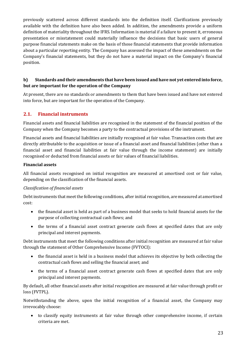previously scattered across different standards into the definition itself. Clarifications previously available with the definition have also been added. In addition, the amendments provide a uniform definition of materiality throughout the IFRS. Information is material if a failure to present it, erroneous presentation or misstatement could materially influence the decisions that basic users of general purpose financial statements make on the basis of those financial statements that provide information about a particular reporting entity. The Company has assessed the impact of these amendments on the Company's financial statements, but they do not have a material impact on the Company's financial position.

### **b) Standards and their amendments that have been issued and have not yet entered into force, but are important for the operation of the Company**

At present, there are no standards or amendments to them that have been issued and have not entered into force, but are important for the operation of the Company.

## **2.1. Financial instruments**

Financial assets and financial liabilities are recognised in the statement of the financial position of the Company when the Company becomes a party to the contractual provisions of the instrument.

Financial assets and financial liabilities are initially recognised at fair value. Transaction costs that are directly attributable to the acquisition or issue of a financial asset and financial liabilities (other than a financial asset and financial liabilities at fair value through the income statement) are initially recognised or deducted from financial assets or fair values of financial liabilities.

#### **Financial assets**

All financial assets recognised on initial recognition are measured at amortised cost or fair value, depending on the classification of the financial assets.

#### *Classification of financial assets*

Debt instruments that meet the following conditions, after initial recognition, are measured at amortised cost:

- the financial asset is held as part of a business model that seeks to hold financial assets for the purpose of collecting contractual cash flows; and
- the terms of a financial asset contract generate cash flows at specified dates that are only principal and interest payments.

Debt instruments that meet the following conditions after initial recognition are measured at fair value through the statement of Other Comprehensive Income (FVTOCI):

- the financial asset is held in a business model that achieves its objective by both collecting the contractual cash flows and selling the financial asset; and
- the terms of a financial asset contract generate cash flows at specified dates that are only principal and interest payments.

By default, all other financial assets after initial recognition are measured at fair value through profit or loss (FVTPL).

Notwithstanding the above, upon the initial recognition of a financial asset, the Company may irrevocably choose:

• to classify equity instruments at fair value through other comprehensive income, if certain criteria are met.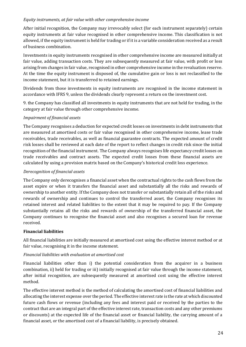#### *Equity instruments, at fair value with other comprehensive income*

After initial recognition, the Company may irrevocably select (for each instrument separately) certain equity instruments at fair value recognised in other comprehensive income. This classification is not allowed, if the equity instrument is held for trading or if it is a variable consideration received as a result of business combination.

Investments in equity instruments recognised in other comprehensive income are measured initially at fair value, adding transaction costs. They are subsequently measured at fair value, with profit or loss arising from changes in fair value, recognised in other comprehensive income in the revaluation reserve. At the time the equity instrument is disposed of, the cumulative gain or loss is not reclassified to the income statement, but it is transferred to retained earnings.

Dividends from those investments in equity instruments are recognised in the income statement in accordance with IFRS 9, unless the dividends clearly represent a return on the investment cost.

9. the Company has classified all investments in equity instruments that are not held for trading, in the category at fair value through other comprehensive income.

#### *Impairment of financial assets*

The Company recognises a deduction for expected credit losses on investments in debt instruments that are measured at amortised costs or fair value recognised in other comprehensive income, lease trade receivables, trade receivables, as well as financial guarantee contracts. The expected amount of credit risk losses shall be reviewed at each date of the report to reflect changes in credit risk since the initial recognition of the financial instrument. The Company always recognises life expectancy credit losses on trade receivables and contract assets. The expected credit losses from these financial assets are calculated by using a provision matrix based on the Company's historical credit loss experience.

#### *Derecognition of financial assets*

The Company only derecognises a financial asset when the contractual rights to the cash flows from the asset expire or when it transfers the financial asset and substantially all the risks and rewards of ownership to another entity. If the Company does not transfer or substantially retain all of the risks and rewards of ownership and continues to control the transferred asset, the Company recognises its retained interest and related liabilities to the extent that it may be required to pay. If the Company substantially retains all the risks and rewards of ownership of the transferred financial asset, the Company continues to recognise the financial asset and also recognises a secured loan for revenue received.

#### **Financial liabilities**

All financial liabilities are initially measured at amortised cost using the effective interest method or at fair value, recognising it in the income statement.

#### *Financial liabilities with evaluation at amortised cost*

Financial liabilities other than i) the potential consideration from the acquirer in a business combination, ii) held for trading or iii) initially recognised at fair value through the income statement, after initial recognition, are subsequently measured at amortised cost using the effective interest method.

The effective interest method is the method of calculating the amortised cost of financial liabilities and allocating the interest expense over the period. The effective interest rate is the rate at which discounted future cash flows or revenue (including any fees and interest paid or received by the parties to the contract that are an integral part of the effective interest rate, transaction costs and any other premiums or discounts) at the expected life of the financial asset or financial liability, the carrying amount of a financial asset, or the amortised cost of a financial liability, is precisely obtained.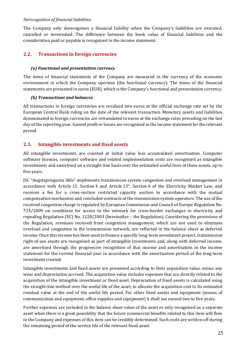#### *Derecognition of financial liabilities*

The Company only derecognises a financial liability when the Company's liabilities are executed, cancelled or terminated. The difference between the book value of financial liabilities and the consideration paid or payable is recognised in the income statement.

## **2.2. Transactions in foreign currencies**

#### *(a) Functional and presentation currency*

The items of financial statements of the Company are measured in the currency of the economic environment in which the Company operates (the functional currency). The items of the financial statements are presented in euros (EUR), which is the Company's functional and presentation currency.

#### *(b) Transactions and balances*

All transactions in foreign currencies are revalued into euros at the official exchange rate set by the European Central Bank ruling on the date of the relevant transaction. Monetary assets and liabilities denominated in foreign currencies are retranslated to euros at the exchange rates prevailing on the last day of the reporting year. Gained profit or losses are recognised in the income statement for the relevant period.

#### **2.3. Intangible investments and fixed assets**

All intangible investments are counted at initial value less accumulated amortisation. Computer software licences, computer software and related implementation costs are recognised as intangible investments and amortised on a straight-line basis over the estimated useful lives of these assets, up to five years.

JSC "Augstsprieguma tīkls" implements transmission system congestion and overload management in accordance with Article 13, Section 4 and Article  $13<sup>1</sup>$ , Section 6 of the Electricity Market Law, and receives a fee for a cross-section restricted capacity auction in accordance with the mutual compensation mechanism and concluded contracts of the transmission system operators. The use of the received congestion charge is regulated by European Commission and Council of Europe Regulation No. 714/2009 on conditions for access to the network for cross-border exchanges in electricity and repealing Regulation (EC) No. 1228/2003 (hereinafter – the Regulation). Considering the provisions of the Regulation, revenues received from congestion management, which are not used to eliminate overload and congestion in the transmission network, are reflected in the balance sheet as deferred income. Once this income has been used to finance a specific long-term investment project, transmission right-of-use assets are recognised as part of intangible investments and, along with deferred income, are amortised through the progressive recognition of that income and amortisation in the income statement for the current financial year in accordance with the amortisation period of the long-term investment created.

Intangible investments and fixed assets are presented according to their acquisition value, minus any wear and depreciation accrued. The acquisition value includes expenses that are directly related to the acquisition of the intangible investment or fixed asset. Depreciation of fixed assets is calculated using the straight-line method over the useful life of the asset, to allocate the acquisition cost to its estimated residual value at the end of the useful life period. For other fixed assets and equipment (means of communication and equipment, office supplies and equipment) it shall not exceed two to five years.

Further expenses are included in the balance sheet value of the asset or only recognised as a separate asset when there is a great possibility that the future commercial benefits related to this item will flow in the Company and expenses of this item can be credibly determined. Such costs are written off during the remaining period of the service life of the relevant fixed asset.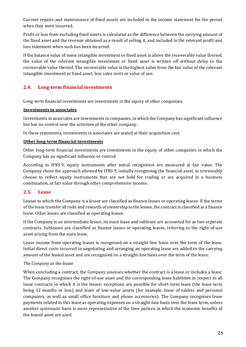Current repairs and maintenance of fixed assets are included in the income statement for the period when they were incurred.

Profit or loss from excluding fixed assets is calculated as the difference between the carrying amount of the fixed asset and the revenue obtained as a result of selling it, and included in the relevant profit and loss statement when such has been incurred.

If the balance value of some intangible investment or fixed asset is above the recoverable value thereof, the value of the relevant intangible investment or fixed asset is written off without delay to the recoverable value thereof. The recoverable value is the highest value from the fair value of the relevant intangible investment or fixed asset, less sales costs or value of use.

## **2.4. Long-term financial investments**

Long-term financial investments are investments in the equity of other companies.

#### **Investments in associates**

Investments in associates are investments in companies, in which the Company has significant influence but has no control over the activities of the other company.

In these statements, investments in associates are stated at their acquisition cost.

#### **Other long-term financial investments**

Other long-term financial investments are investments in the equity of other companies in which the Company has no significant influence or control.

According to IFRS 9, equity instruments after initial recognition are measured at fair value. The Company chose the approach allowed by IFRS 9, initially recognising the financial asset, to irrevocably choose to reflect equity instruments that are not held for trading or are acquired in a business combination, at fair value through other comprehensive income.

#### **2.5. Lease**

Leases to which the Company is a lessor are classified as finance leases or operating leases. If the terms of the lease transfer all risks and rewards of ownership to the lessee, the contract is classified as a finance lease. Other leases are classified as operating leases.

If the Company is an intermediate lessor, its main lease and sublease are accounted for as two separate contracts. Subleases are classified as finance leases or operating leases, referring to the right-of-use asset arising from the main lease.

Lease income from operating leases is recognised on a straight-line basis over the term of the lease. Initial direct costs incurred in negotiating and arranging an operating lease are added to the carrying amount of the leased asset and are recognised on a straight-line basis over the term of the lease.

#### *The Company as the lessee*

When concluding a contract, the Company assesses whether the contract is a lease or includes a lease. The Company recognises the right-of-use asset and the corresponding lease liabilities in respect to all lease contracts in which it is the lessee; exceptions are possible for short-term lease (the lease term being 12 months or less) and lease of low-value assets (for example, lease of tablets and personal computers, as well as small office furniture and phone accessories). The Company recognises lease payments related to this lease as operating expenses on a straight-line basis over the lease term, unless another systematic basis is more representative of the time pattern in which the economic benefits of the leased asset are used.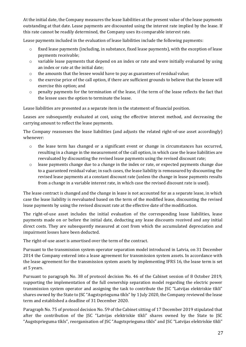At the initial date, the Company measures the lease liabilities at the present value of the lease payments outstanding at that date. Lease payments are discounted using the interest rate implied by the lease. If this rate cannot be readily determined, the Company uses its comparable interest rate.

Lease payments included in the evaluation of lease liabilities include the following payments:

- o fixed lease payments (including, in substance, fixed lease payments), with the exception of lease payments receivable;
- $\circ$  variable lease payments that depend on an index or rate and were initially evaluated by using an index or rate at the initial date;
- o the amounts that the lessee would have to pay as guarantees of residual value;
- o the exercise price of the call option, if there are sufficient grounds to believe that the lessee will exercise this option; and
- o penalty payments for the termination of the lease, if the term of the lease reflects the fact that the lessee uses the option to terminate the lease.

Lease liabilities are presented as a separate item in the statement of financial position.

Leases are subsequently evaluated at cost, using the effective interest method, and decreasing the carrying amount to reflect the lease payments.

The Company reassesses the lease liabilities (and adjusts the related right-of-use asset accordingly) whenever:

- o the lease term has changed or a significant event or change in circumstances has occurred, resulting in a change in the measurement of the call option, in which case the lease liabilities are reevaluated by discounting the revised lease payments using the revised discount rate;
- $\circ$  lease payments change due to a change in the index or rate, or expected payments change due to a guaranteed residual value; in such cases, the lease liability is remeasured by discounting the revised lease payments at a constant discount rate (unless the change in lease payments results from a change in a variable interest rate, in which case the revised discount rate is used).

The lease contract is changed and the change in lease is not accounted for as a separate lease, in which case the lease liability is reevaluated based on the term of the modified lease, discounting the revised lease payments by using the revised discount rate at the effective date of the modification.

The right-of-use asset includes the initial evaluation of the corresponding lease liabilities, lease payments made on or before the initial date, deducting any lease discounts received and any initial direct costs. They are subsequently measured at cost from which the accumulated depreciation and impairment losses have been deducted.

The right-of-use asset is amortised over the term of the contract.

Pursuant to the transmission system operator separation model introduced in Latvia, on 31 December 2014 the Company entered into a lease agreement for transmission system assets. In accordance with the lease agreement for the transmission system assets by implementing IFRS 16, the lease term is set at 5 years.

Pursuant to paragraph No. 38 of protocol decision No. 46 of the Cabinet session of 8 October 2019, supporting the implementation of the full ownership separation model regarding the electric power transmission system operator and assigning the task to contribute the JSC "Latvijas elektriskie tīkli" shares owned by the State to JSC "Augstsprieguma tīkls" by 1 July 2020, the Company reviewed the lease term and established a deadline of 31 December 2020.

Paragraph No. 75 of protocol decision No. 59 of the Cabinet sitting of 17 December 2019 stipulated that after the contribution of the JSC "Latvijas elektriskie tīkli" shares owned by the State to JSC "Augstsprieguma tīkls", reorganisation of JSC "Augstsprieguma tīkls" and JSC "Latvijas elektriskie tīkli"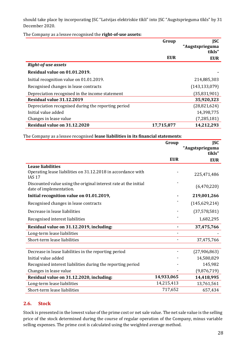should take place by incorporating JSC "Latvijas elektriskie tīkli" into JSC "Augstsprieguma tīkls" by 31 December 2020.

The Company as a lessee recognised the **right-of-use assets:**

|                                                     | Group      | <b>JSC</b><br>"Augstsprieguma |
|-----------------------------------------------------|------------|-------------------------------|
|                                                     |            | tīkls"                        |
|                                                     | <b>EUR</b> | <b>EUR</b>                    |
| <b>Right-of-use assets</b>                          |            |                               |
| Residual value on 01.01.2019.                       |            |                               |
| Initial recognition value on 01.01.2019.            |            | 214,885,303                   |
| Recognised changes in lease contracts               |            | (143, 133, 079)               |
| Depreciation recognised in the income statement     |            | (35, 831, 901)                |
| Residual value 31.12.2019                           |            | 35,920,323                    |
| Depreciation recognised during the reporting period |            | (28, 821, 624)                |
| Initial value added                                 |            | 14,398,775                    |
| Changes in lease value                              |            | (7, 285, 181)                 |
| Residual value on 31.12.2020                        | 17,715,877 | 14,212,293                    |

The Company as a lessee recognised **lease liabilities in its financial statements**:

|                                                                                             | Group      | <b>JSC</b>                |
|---------------------------------------------------------------------------------------------|------------|---------------------------|
|                                                                                             |            | "Augstsprieguma<br>tīkls" |
|                                                                                             | <b>EUR</b> | <b>EUR</b>                |
| <b>Lease liabilities</b>                                                                    |            |                           |
| Operating lease liabilities on 31.12.2018 in accordance with<br><b>IAS 17</b>               |            | 225,471,486               |
| Discounted value using the original interest rate at the initial<br>date of implementation. |            | (6,470,220)               |
| Initial recognition value on 01.01.2019,                                                    |            | 219,001,266               |
| Recognised changes in lease contracts                                                       |            | (145, 629, 214)           |
| Decrease in lease liabilities                                                               |            | (37, 578, 581)            |
| Recognised interest liabilities                                                             |            | 1,682,295                 |
| Residual value on 31.12.2019, including:                                                    |            | 37,475,766                |
| Long-term lease liabilities                                                                 |            |                           |
| Short-term lease liabilities                                                                |            | 37,475,766                |
|                                                                                             |            |                           |
| Decrease in lease liabilities in the reporting period                                       |            | (27,906,863)              |
| Initial value added                                                                         |            | 14,580,829                |
| Recognised interest liabilities during the reporting period                                 |            | 145,982                   |
| Changes in lease value                                                                      |            | (9,876,719)               |
| Residual value on 31.12.2020, including:                                                    | 14,933,065 | 14,418,995                |
| Long-term lease liabilities                                                                 | 14,215,413 | 13,761,561                |
| Short-term lease liabilities                                                                | 717,652    | 657,434                   |

#### **2.6. Stock**

Stock is presented in the lowest value of the prime cost or net sale value. The net sale value is the selling price of the stock determined during the course of regular operation of the Company, minus variable selling expenses. The prime cost is calculated using the weighted average method.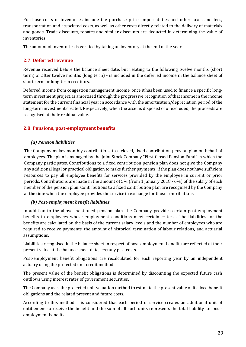Purchase costs of inventories include the purchase price, import duties and other taxes and fees, transportation and associated costs, as well as other costs directly related to the delivery of materials and goods. Trade discounts, rebates and similar discounts are deducted in determining the value of inventories.

The amount of inventories is verified by taking an inventory at the end of the year.

## **2.7. Deferred revenue**

Revenue received before the balance sheet date, but relating to the following twelve months (short term) or after twelve months (long term) - is included in the deferred income in the balance sheet of short-term or long-term creditors.

Deferred income from congestion management income, once it has been used to finance a specific longterm investment project, is amortised through the progressive recognition of that income in the income statement for the current financial year in accordance with the amortisation/depreciation period of the long-term investment created. Respectively, when the asset is disposed of or excluded, the proceeds are recognised at their residual value.

## **2.8. Pensions, post-employment benefits**

#### *(a) Pension liabilities*

The Company makes monthly contributions to a closed, fixed contribution pension plan on behalf of employees. The plan is managed by the Joint Stock Company "First Closed Pension Fund" in which the Company participates. Contributions to a fixed contribution pension plan does not give the Company any additional legal or practical obligation to make further payments, if the plan does not have sufficient resources to pay all employee benefits for services provided by the employee in current or prior periods. Contributions are made in the amount of 5% (from 1 January 2018 - 6%) of the salary of each member of the pension plan. Contributions to a fixed contribution plan are recognised by the Company at the time when the employee provides the service in exchange for those contributions.

#### *(b) Post-employment benefit liabilities*

In addition to the above mentioned pension plan, the Company provides certain post-employment benefits to employees whose employment conditions meet certain criteria. The liabilities for the benefits are calculated on the basis of the current salary levels and the number of employees who are required to receive payments, the amount of historical termination of labour relations, and actuarial assumptions.

Liabilities recognised in the balance sheet in respect of post-employment benefits are reflected at their present value at the balance sheet date, less any past costs.

Post-employment benefit obligations are recalculated for each reporting year by an independent actuary using the projected unit credit method.

The present value of the benefit obligations is determined by discounting the expected future cash outflows using interest rates of government securities.

The Company uses the projected unit valuation method to estimate the present value of its fixed benefit obligations and the related present and future costs.

According to this method it is considered that each period of service creates an additional unit of entitlement to receive the benefit and the sum of all such units represents the total liability for postemployment benefits.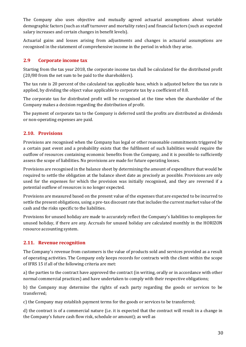The Company also uses objective and mutually agreed actuarial assumptions about variable demographic factors (such as staff turnover and mortality rates) and financial factors (such as expected salary increases and certain changes in benefit levels).

Actuarial gains and losses arising from adjustments and changes in actuarial assumptions are recognised in the statement of comprehensive income in the period in which they arise.

### **2.9 Corporate income tax**

Starting from the tax year 2018, the corporate income tax shall be calculated for the distributed profit (20/80 from the net sum to be paid to the shareholders).

The tax rate is 20 percent of the calculated tax applicable base, which is adjusted before the tax rate is applied, by dividing the object value applicable to corporate tax by a coefficient of 0.8.

The corporate tax for distributed profit will be recognised at the time when the shareholder of the Company makes a decision regarding the distribution of profit.

The payment of corporate tax to the Company is deferred until the profits are distributed as dividends or non-operating expenses are paid.

## **2.10. Provisions**

Provisions are recognised when the Company has legal or other reasonable commitments triggered by a certain past event and a probability exists that the fulfilment of such liabilities would require the outflow of resources containing economic benefits from the Company, and it is possible to sufficiently assess the scope of liabilities. No provisions are made for future operating losses.

Provisions are recognised in the balance sheet by determining the amount of expenditure that would be required to settle the obligation at the balance sheet date as precisely as possible. Provisions are only used for the expenses for which the provision was initially recognised, and they are reversed if a potential outflow of resources is no longer expected.

Provisions are measured based on the present value of the expenses that are expected to be incurred to settle the present obligations, using a pre-tax discount rate that includes the current market value of the cash and the risks specific to the liabilities.

Provisions for unused holiday are made to accurately reflect the Company's liabilities to employees for unused holiday, if there are any. Accruals for unused holiday are calculated monthly in the HORIZON resource accounting system.

## **2.11. Revenue recognition**

The Company's revenue from customers is the value of products sold and services provided as a result of operating activities. The Company only keeps records for contracts with the client within the scope of IFRS 15 if all of the following criteria are met:

a) the parties to the contract have approved the contract (in writing, orally or in accordance with other normal commercial practices) and have undertaken to comply with their respective obligations;

b) the Company may determine the rights of each party regarding the goods or services to be transferred;

c) the Company may establish payment terms for the goods or services to be transferred;

d) the contract is of a commercial nature (i.e. it is expected that the contract will result in a change in the Company's future cash flow risk, schedule or amount); as well as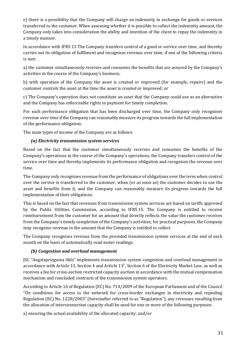e) there is a possibility that the Company will charge an indemnity in exchange for goods or services transferred to the customer. When assessing whether it is possible to collect the indemnity amount, the Company only takes into consideration the ability and intention of the client to repay the indemnity in a timely manner.

In accordance with IFRS 15 The Company transfers control of a good or service over time, and thereby carries out its obligation of fulfilment and recognises revenue over time, if one of the following criteria is met:

a) the customer simultaneously receives and consumes the benefits that are assured by the Company's activities in the course of the Company's business;

b) with operation of the Company the asset is created or improved (for example, repairs) and the customer controls the asset at the time the asset is created or improved; or

c) The Company's operation does not constitute an asset that the Company could use as an alternative and the Company has enforceable rights to payment for timely completion.

For each performance obligation that has been discharged over time, the Company only recognises revenue over time if the Company can reasonably measure its progress towards the full implementation of the performance obligation.

The main types of income of the Company are as follows:

### *(a) Electricity transmission system services*

Based on the fact that the customer simultaneously receives and consumes the benefits of the Company's operations in the course of the Company's operations, the Company transfers control of the service over time and thereby implements its performance obligation and recognises the revenue over time.

The Company only recognises revenue from the performance of obligations over the term when control over the service is transferred to the customer, when (or as soon as) the customer decides to use the asset and benefits from it, and the Company can reasonably measure its progress towards the full implementation of their obligations.

This is based on the fact that revenues from transmission system services are based on tariffs approved by the Public Utilities Commission, according to IFRS 15. The Company is entitled to receive reimbursement from the customer for an amount that directly reflects the value the customer receives from the Company's timely completion of the Company's activities; for practical purposes, the Company may recognise revenue in the amount that the Company is entitled to collect.

The Company recognises revenue from the provided transmission system services at the end of each month on the basis of automatically read meter readings.

## *(b) Congestion and overload management*

JSC "Augstsprieguma tīkls" implements transmission system congestion and overload management in accordance with Article 13, Section 4 and Article  $13<sup>1</sup>$ , Section 6 of the Electricity Market Law, as well as receives a fee for cross-section restricted capacity auction in accordance with the mutual compensation mechanism and concluded contracts of the transmission system operators.

According to Article 16 of Regulation (EC) No. 714/2009 of the European Parliament and of the Council "On conditions for access to the network for cross-border exchanges in electricity and repealing Regulation (EC) No. 1228/2003" (hereinafter referred to as "Regulation"), any revenues resulting from the allocation of interconnection capacity shall be used for one or more of the following purposes:

a) ensuring the actual availability of the allocated capacity; and/or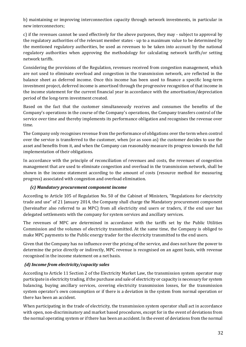b) maintaining or improving interconnection capacity through network investments, in particular in new interconnectors;

c) if the revenues cannot be used effectively for the above purposes, they may - subject to approval by the regulatory authorities of the relevant member states - up to a maximum value to be determined by the mentioned regulatory authorities, be used as revenues to be taken into account by the national regulatory authorities when approving the methodology for calculating network tariffs/or setting network tariffs.

Considering the provisions of the Regulation, revenues received from congestion management, which are not used to eliminate overload and congestion in the transmission network, are reflected in the balance sheet as deferred income. Once this income has been used to finance a specific long-term investment project, deferred income is amortised through the progressive recognition of that income in the income statement for the current financial year in accordance with the amortisation/depreciation period of the long-term investment created.

Based on the fact that the customer simultaneously receives and consumes the benefits of the Company's operations in the course of the Company's operations, the Company transfers control of the service over time and thereby implements its performance obligation and recognises the revenue over time.

The Company only recognises revenue from the performance of obligations over the term when control over the service is transferred to the customer, when (or as soon as) the customer decides to use the asset and benefits from it, and when the Company can reasonably measure its progress towards the full implementation of their obligations.

In accordance with the principle of reconciliation of revenues and costs, the revenues of congestion management that are used to eliminate congestion and overload in the transmission network, shall be shown in the income statement according to the amount of costs (resource method for measuring progress) associated with congestion and overload elimination.

#### *(c) Mandatory procurement component income*

According to Article 105 of Regulation No. 50 of the Cabinet of Ministers, "Regulations for electricity trade and use" of 21 January 2014, the Company shall charge the Mandatory procurement component (hereinafter also referred to as MPC) from all electricity end users or traders, if the end user has delegated settlements with the company for system services and ancillary services.

The revenues of MPC are determined in accordance with the tariffs set by the Public Utilities Commission and the volumes of electricity transmitted. At the same time, the Company is obliged to make MPC payments to the Public energy trader for the electricity transmitted to the end users.

Given that the Company has no influence over the pricing of the service, and does not have the power to determine the price directly or indirectly, MPC revenue is recognised on an agent basis, with revenue recognised in the income statement on a net basis.

## *(d) Income from electricity/capacity sales*

According to Article 11 Section 2 of the Electricity Market Law, the transmission system operator may participate in electricity trading, if the purchase and sale of electricity or capacity is necessary for system balancing, buying ancillary services, covering electricity transmission losses, for the transmission system operator's own consumption or if there is a deviation in the system from normal operation or there has been an accident.

When participating in the trade of electricity, the transmission system operator shall act in accordance with open, non-discriminatory and market based procedures, except for in the event of deviations from the normal operating system or if there has been an accident. In the event of deviations from the normal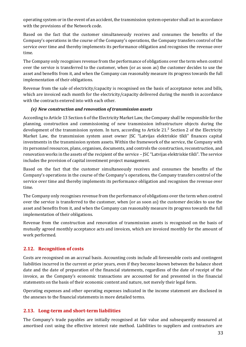operating system or in the event of an accident, the transmission system operator shall act in accordance with the provisions of the Network code.

Based on the fact that the customer simultaneously receives and consumes the benefits of the Company's operations in the course of the Company's operations, the Company transfers control of the service over time and thereby implements its performance obligation and recognises the revenue over time.

The Company only recognises revenue from the performance of obligations over the term when control over the service is transferred to the customer, when (or as soon as) the customer decides to use the asset and benefits from it, and when the Company can reasonably measure its progress towards the full implementation of their obligations.

Revenue from the sale of electricity/capacity is recognised on the basis of acceptance notes and bills, which are invoiced each month for the electricity/capacity delivered during the month in accordance with the contracts entered into with each other.

#### *(e) New construction and renovation of transmission assets*

According to Article 13 Section 6 of the Electricity Market Law, the Company shall be responsible for the planning, construction and commissioning of new transmission infrastructure objects during the development of the transmission system. In turn, according to Article 21.² Section 2 of the Electricity Market Law, the transmission system asset owner JSC "Latvijas elektriskie tīkli" finances capital investments in the transmission system assets. Within the framework of the service, the Company with its personnel resources, plans, organises, documents, and controls the construction, reconstruction, and renovation works in the assets of the recipient of the service – JSC "Latvijas elektriskie tīkli". The service includes the provision of capital investment project management.

Based on the fact that the customer simultaneously receives and consumes the benefits of the Company's operations in the course of the Company's operations, the Company transfers control of the service over time and thereby implements its performance obligation and recognises the revenue over time.

The Company only recognises revenue from the performance of obligations over the term when control over the service is transferred to the customer, when (or as soon as) the customer decides to use the asset and benefits from it, and when the Company can reasonably measure its progress towards the full implementation of their obligations.

Revenue from the construction and renovation of transmission assets is recognised on the basis of mutually agreed monthly acceptance acts and invoices, which are invoiced monthly for the amount of work performed.

## **2.12. Recognition of costs**

Costs are recognised on an accrual basis. Accounting costs include all foreseeable costs and contingent liabilities incurred in the current or prior years, even if they become known between the balance sheet date and the date of preparation of the financial statements, regardless of the date of receipt of the invoice, as the Company's economic transactions are accounted for and presented in the financial statements on the basis of their economic content and nature, not merely their legal form.

Operating expenses and other operating expenses indicated in the income statement are disclosed in the annexes to the financial statements in more detailed terms.

#### **2.13. Long-term and short-term liabilities**

The Company's trade payables are initially recognised at fair value and subsequently measured at amortised cost using the effective interest rate method. Liabilities to suppliers and contractors are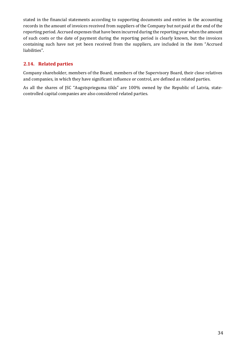stated in the financial statements according to supporting documents and entries in the accounting records in the amount of invoices received from suppliers of the Company but not paid at the end of the reporting period. Accrued expenses that have been incurred during the reporting year when the amount of such costs or the date of payment during the reporting period is clearly known, but the invoices containing such have not yet been received from the suppliers, are included in the item "Accrued liabilities".

## **2.14. Related parties**

Company shareholder, members of the Board, members of the Supervisory Board, their close relatives and companies, in which they have significant influence or control, are defined as related parties.

As all the shares of JSC "Augstsprieguma tīkls" are 100% owned by the Republic of Latvia, statecontrolled capital companies are also considered related parties.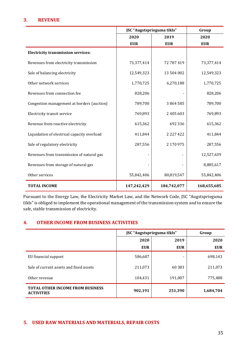### **3. REVENUE**

|                                             | JSC "Augstsprieguma tīkls" | Group                    |             |
|---------------------------------------------|----------------------------|--------------------------|-------------|
|                                             | 2020                       | 2019                     | 2020        |
|                                             | <b>EUR</b>                 | <b>EUR</b>               | <b>EUR</b>  |
| <b>Electricity transmission services:</b>   |                            |                          |             |
| Revenues from electricity transmission      | 73,377,414                 | 72 787 419               | 73,377,414  |
| Sale of balancing electricity               | 12,549,323                 | 13 504 002               | 12,549,323  |
| Other network services                      | 1,770,725                  | 6,270,188                | 1,770,725   |
| Revenues from connection fee                | 828,206                    |                          | 828,206     |
| Congestion management at borders (auction)  | 789,700                    | 3864585                  | 789,700     |
| Electricity transit service                 | 769,893                    | 2 405 603                | 769,893     |
| Revenue from reactive electricity           | 615,362                    | 692 336                  | 615,362     |
| Liquidation of electrical capacity overload | 411,844                    | 2 2 2 7 4 2 2            | 411,844     |
| Sale of regulatory electricity              | 287,556                    | 2 170 975                | 287,556     |
| Revenues from transmission of natural gas   |                            | $\overline{\phantom{a}}$ | 12,527,639  |
| Revenues from storage of natural gas        |                            |                          | 8,885,617   |
| Other services                              | 55,842,406                 | 80,819,547               | 55,842,406  |
| <b>TOTAL INCOME</b>                         | 147,242,429                | 184,742,077              | 168,655,685 |

Pursuant to the Energy Law, the Electricity Market Law, and the Network Code, JSC "Augstsprieguma tīkls" is obliged to implement the operational management of the transmission system and to ensure the safe, stable transmission of electricity.

#### **4. OTHER INCOME FROM BUSINESS ACTIVITIES**

|                                                              | JSC "Augstsprieguma tīkls" | Group      |            |
|--------------------------------------------------------------|----------------------------|------------|------------|
|                                                              | 2020                       | 2019       | 2020       |
|                                                              | <b>EUR</b>                 | <b>EUR</b> | <b>EUR</b> |
| EU financial support                                         | 586,687                    |            | 698,143    |
| Sale of current assets and fixed assets                      | 211,073                    | 60 383     | 211,073    |
| Other revenue                                                | 104,431                    | 191,007    | 775,488    |
| <b>TOTAL OTHER INCOME FROM BUSINESS</b><br><b>ACTIVITIES</b> | 902,191                    | 251,390    | 1,684,704  |

#### **5. USED RAW MATERIALS AND MATERIALS, REPAIR COSTS**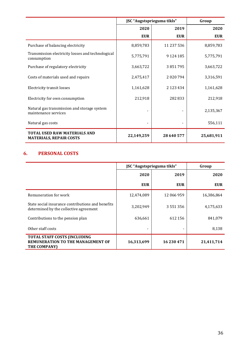|                                                                       | JSC "Augstsprieguma tīkls" | Group         |            |
|-----------------------------------------------------------------------|----------------------------|---------------|------------|
|                                                                       | 2020                       | 2019          | 2020       |
|                                                                       | <b>EUR</b>                 | <b>EUR</b>    | <b>EUR</b> |
| Purchase of balancing electricity                                     | 8,859,783                  | 11 237 536    | 8,859,783  |
| Transmission electricity losses and technological<br>consumption      | 5,775,791                  | 9 1 2 4 1 8 5 | 5,775,791  |
| Purchase of regulatory electricity                                    | 3,663,722                  | 3851795       | 3,663,722  |
| Costs of materials used and repairs                                   | 2,475,417                  | 2020794       | 3,316,591  |
| Electricity transit losses                                            | 1,161,628                  | 2 1 2 3 4 3 4 | 1,161,628  |
| Electricity for own consumption                                       | 212,918                    | 282833        | 212,918    |
| Natural gas transmission and storage system<br>maintenance services   |                            |               | 2,135,367  |
| Natural gas costs                                                     |                            |               | 556,111    |
| <b>TOTAL USED RAW MATERIALS AND</b><br><b>MATERIALS, REPAIR COSTS</b> | 22,149,259                 | 28 640 577    | 25,681,911 |

## **6. PERSONAL COSTS**

|                                                                                             | JSC "Augstsprieguma tīkls" | Group         |            |
|---------------------------------------------------------------------------------------------|----------------------------|---------------|------------|
|                                                                                             | 2020                       | 2019          | 2020       |
|                                                                                             | <b>EUR</b>                 | <b>EUR</b>    | <b>EUR</b> |
| Remuneration for work                                                                       | 12,474,089                 | 12 066 959    | 16,386,864 |
| State social insurance contributions and benefits<br>determined by the collective agreement | 3,202,949                  | 3 5 5 1 3 5 6 | 4,175,633  |
| Contributions to the pension plan                                                           | 636,661                    | 612 156       | 841,079    |
| Other staff costs                                                                           |                            |               | 8,138      |
| <b>TOTAL STAFF COSTS (INCLUDING</b><br>REMUNERATION TO THE MANAGEMENT OF<br>THE COMPANY)    | 16,313,699                 | 16 230 471    | 21,411,714 |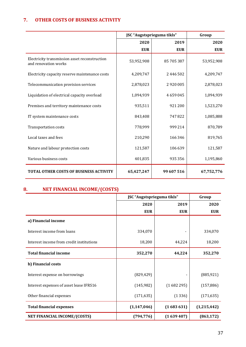## **7. OTHER COSTS OF BUSINESS ACTIVITY**

|                                                                       | JSC "Augstsprieguma tīkls" | Group      |            |
|-----------------------------------------------------------------------|----------------------------|------------|------------|
|                                                                       | 2020                       | 2019       | 2020       |
|                                                                       | <b>EUR</b>                 | <b>EUR</b> | <b>EUR</b> |
| Electricity transmission asset reconstruction<br>and renovation works | 53,952,908                 | 85 705 387 | 53,952,908 |
| Electricity capacity reserve maintenance costs                        | 4,209,747                  | 2 446 502  | 4,209,747  |
| Telecommunication provision services                                  | 2,878,023                  | 2920005    | 2,878,023  |
| Liquidation of electrical capacity overload                           | 1,094,939                  | 4659045    | 1,094,939  |
| Premises and territory maintenance costs                              | 935,511                    | 921 200    | 1,523,270  |
| IT system maintenance costs                                           | 843,408                    | 747822     | 1,085,888  |
| <b>Transportation costs</b>                                           | 778,999                    | 999 214    | 870,789    |
| Local taxes and fees                                                  | 210,290                    | 166 346    | 819,765    |
| Nature and labour protection costs                                    | 121,587                    | 106 639    | 121,587    |
| Various business costs                                                | 401,835                    | 935 356    | 1,195,860  |
| <b>TOTAL OTHER COSTS OF BUSINESS ACTIVITY</b>                         | 65,427,247                 | 99 607 516 | 67,752,776 |

## **8. NET FINANCIAL INCOME/(COSTS)**

|                                          | JSC "Augstsprieguma tīkls" | Group      |             |
|------------------------------------------|----------------------------|------------|-------------|
|                                          | 2020                       | 2019       | 2020        |
|                                          | <b>EUR</b>                 | <b>EUR</b> | <b>EUR</b>  |
| a) Financial income                      |                            |            |             |
| Interest income from loans               | 334,070                    |            | 334,070     |
| Interest income from credit institutions | 18,200                     | 44,224     | 18,200      |
| <b>Total financial income</b>            | 352,270                    | 44,224     | 352,270     |
| b) Financial costs                       |                            |            |             |
| Interest expense on borrowings           | (829, 429)                 |            | (885, 921)  |
| Interest expenses of asset lease IFRS16  | (145, 982)                 | (1682295)  | (157, 886)  |
| Other financial expenses                 | (171, 635)                 | (1336)     | (171, 635)  |
| <b>Total financial expenses</b>          | (1, 147, 046)              | (1683631)  | (1,215,442) |
| NET FINANCIAL INCOME/(COSTS)             | (794, 776)                 | (1639407)  | (863, 172)  |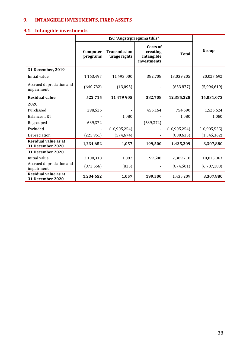## **9. INTANGIBLE INVESTMENTS, FIXED ASSETS**

## **9.1. Intangible investments**

|                                                 | Computer<br>programs | <b>Transmission</b><br>usage rights | Costs of<br>creating<br>intangible<br>investments | <b>Total</b> | Group         |
|-------------------------------------------------|----------------------|-------------------------------------|---------------------------------------------------|--------------|---------------|
| 31 December, 2019                               |                      |                                     |                                                   |              |               |
| Initial value                                   | 1,163,497            | 11 493 000                          | 382,708                                           | 13,039,205   | 20,027,692    |
| Accrued depreciation and<br>impairment          | (640782)             | (13,095)                            |                                                   | (653, 877)   | (5,996,619)   |
| <b>Residual value</b>                           | 522,715              | 11 479 905                          | 382,708                                           | 12,385,328   | 14,031,073    |
| 2020                                            |                      |                                     |                                                   |              |               |
| Purchased                                       | 298,526              |                                     | 456,164                                           | 754,690      | 1,526,624     |
| <b>Balances LET</b>                             |                      | 1,080                               |                                                   | 1,080        | 1,080         |
| Regrouped                                       | 639,372              |                                     | (639, 372)                                        |              |               |
| Excluded                                        |                      | (10,905,254)                        |                                                   | (10,905,254) | (10,905,535)  |
| Depreciation                                    | (225, 961)           | (574, 674)                          |                                                   | (800, 635)   | (1, 345, 362) |
| Residual value as at<br><b>31 December 2020</b> | 1,234,652            | 1,057                               | 199,500                                           | 1,435,209    | 3,307,880     |
| <b>31 December 2020</b>                         |                      |                                     |                                                   |              |               |
| Initial value                                   | 2,108,318            | 1,892                               | 199,500                                           | 2,309,710    | 10,015,063    |
| Accrued depreciation and<br>impairment          | (873, 666)           | (835)                               |                                                   | (874, 501)   | (6,707,183)   |
| Residual value as at<br><b>31 December 2020</b> | 1,234,652            | 1,057                               | 199,500                                           | 1,435,209    | 3,307,880     |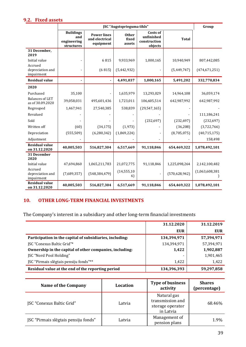## **9.2. Fixed assets**

|                                            | JSC "Augstsprieguma tīkls"                           |                                                   |                                 |                                                          | Group           |                 |
|--------------------------------------------|------------------------------------------------------|---------------------------------------------------|---------------------------------|----------------------------------------------------------|-----------------|-----------------|
|                                            | <b>Buildings</b><br>and<br>engineering<br>structures | <b>Power lines</b><br>and electrical<br>equipment | <b>Other</b><br>fixed<br>assets | <b>Costs of</b><br>unfinished<br>construction<br>objects | <b>Total</b>    |                 |
| 31 December,<br>2019                       |                                                      |                                                   |                                 |                                                          |                 |                 |
| Initial value                              |                                                      | 6815                                              | 9,933,969                       | 1,000,165                                                | 10,940,949      | 807,442,085     |
| Accrued<br>depreciation and<br>impairment  |                                                      | (6815)                                            | (5,442,932)                     |                                                          | (5,449,747)     | (474, 671, 251) |
| <b>Residual value</b>                      |                                                      | ä,                                                | 4,491,037                       | 1,000,165                                                | 5,491,202       | 332,770,834     |
| 2020                                       |                                                      |                                                   |                                 |                                                          |                 |                 |
| Purchased                                  | 35,100                                               |                                                   | 1,635,979                       | 13,293,029                                               | 14,964,108      | 36,059,174      |
| <b>Balances of LET</b><br>as of 30.09.2020 | 39,058,031                                           | 495,601,436                                       | 1,723,011                       | 106,605,514                                              | 642,987,992     | 642,987,992     |
| Regrouped                                  | 1,467,941                                            | 27,540,385                                        | 538,839                         | (29, 547, 165)                                           |                 |                 |
| Revalued                                   |                                                      |                                                   |                                 |                                                          |                 | 111,186,241     |
| Sold                                       |                                                      |                                                   |                                 | (232, 697)                                               | (232, 697)      | (232, 697)      |
| Written off                                | (60)                                                 | (34, 175)                                         | (1, 973)                        |                                                          | (36, 208)       | (3,722,766)     |
| Depreciation                               | (555, 509)                                           | (6, 280, 342)                                     | (1,869,224)                     |                                                          | (8,705,075)     | (40, 715, 175)  |
| Adjustment                                 |                                                      |                                                   |                                 |                                                          |                 | 158,498         |
| <b>Residual value</b><br>on 31.12.2020     | 40,005,503                                           | 516,827,304                                       | 6,517,669                       | 91,118,846                                               | 654,469,322     | 1,078,492,101   |
| 31 December<br>2020                        |                                                      |                                                   |                                 |                                                          |                 |                 |
| Initial value                              | 47,694,860                                           | 1,065,211,783                                     | 21,072,775                      | 91,118,846                                               | 1,225,098,264   | 2,142,100,482   |
| Accrued<br>depreciation and<br>impairment  | (7,689,357)                                          | (548, 384, 479)                                   | (14, 555, 10)<br>6)             |                                                          | (570, 628, 942) | (1,063,608,381) |
| <b>Residual value</b><br>on 31.12.2020     | 40,005,503                                           | 516,827,304                                       | 6,517,669                       | 91,118,846                                               | 654,469,322     | 1,078,492,101   |

## **10. OTHER LONG-TERM FINANCIAL INVESTMENTS**

The Company's interest in a subsidiary and other long-term financial investments

|                                                          | 31.12.2020  | 31.12.2019 |
|----------------------------------------------------------|-------------|------------|
|                                                          | <b>EUR</b>  | <b>EUR</b> |
| Participation in the capital of subsidiaries, including: | 134,394,971 | 57,394,971 |
| <b>ISC</b> "Conexus Baltic Grid"*                        | 134,394,971 | 57,394,971 |
| Ownership in the capital of other companies, including:  | 1,422       | 1,902,887  |
| <b>JSC</b> "Nord Pool Holding"                           |             | 1,901,465  |
| JSC "Pirmais slēgtais pensiju fonds"**                   | 1,422       | 1,422      |
| Residual value at the end of the reporting period        | 134,396,393 | 59,297,858 |

| Name of the Company                  | <b>Location</b> | <b>Type of business</b><br>activity                              | <b>Shares</b><br>(percentage) |
|--------------------------------------|-----------------|------------------------------------------------------------------|-------------------------------|
| <b>JSC "Conexus Baltic Grid"</b>     | Latvia          | Natural gas<br>transmission and<br>storage operator<br>in Latvia | 68.46%                        |
| JSC "Pirmais slēgtais pensiju fonds" | Latvia          | Management of<br>pension plans                                   | 1.9%                          |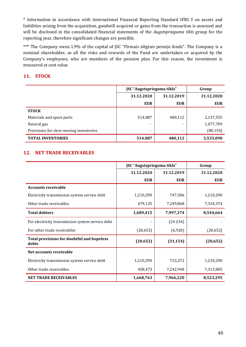\* Information in accordance with International Financial Reporting Standard IFRS 3 on assets and liabilities arising from the acquisition, goodwill acquired or gains from the transaction is assessed and will be disclosed in the consolidated financial statements of the *Augstsprieguma tīkls* group for the reporting year, therefore significant changes are possible.

\*\*\* The Company owns 1.9% of the capital of JSC "Pirmais slēgtais pensiju fonds". The Company is a nominal shareholder, as all the risks and rewards of the Fund are undertaken or acquired by the Company's employees, who are members of the pension plan. For this reason, the investment is measured at cost value.

## **11. STOCK**

|                                        | JSC "Augstsprieguma tīkls" | Group      |            |
|----------------------------------------|----------------------------|------------|------------|
|                                        | 31.12.2020                 | 31.12.2019 |            |
|                                        | <b>EUR</b>                 | <b>EUR</b> | <b>EUR</b> |
| <b>STOCK</b>                           |                            |            |            |
| Materials and spare parts              | 514,087                    | 480,112    | 2,137,535  |
| Natural gas                            |                            |            | 1,477,709  |
| Provisions for slow-moving inventories | -                          |            | (80, 154)  |
| <b>TOTAL INVENTORIES</b>               | 514,087                    | 480,112    | 3,535,090  |

### **12. NET TRADE RECEIVABLES**

|                                                            | JSC "Augstsprieguma tīkls" | Group      |            |
|------------------------------------------------------------|----------------------------|------------|------------|
|                                                            | 31.12.2020                 | 31.12.2019 | 31.12.2020 |
|                                                            | <b>EUR</b>                 | <b>EUR</b> | <b>EUR</b> |
| <b>Accounts receivable</b>                                 |                            |            |            |
| Electricity transmission system service debt               | 1,210,290                  | 747,506    | 1,210,290  |
| Other trade receivables                                    | 479,125                    | 7,249,868  | 7,334,374  |
| <b>Total debtors</b>                                       | 1,689,415                  | 7,997,374  | 8,544,664  |
| For electricity transmission system service debt           |                            | (24234)    |            |
| For other trade receivables                                | (20, 652)                  | (6,920)    | (20, 652)  |
| <b>Total provisions for doubtful and hopeless</b><br>debts | (20, 652)                  | (31, 154)  | (20, 652)  |
| Net accounts receivable                                    |                            |            |            |
| Electricity transmission system service debt               | 1,210,290                  | 723,272    | 1,210,290  |
| Other trade receivables                                    | 458,473                    | 7,242,948  | 7,313,005  |
| <b>NET TRADE RECEIVABLES</b>                               | 1,668,763                  | 7,966,220  | 8,523,295  |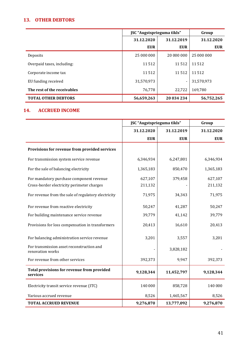## **13. OTHER DEBTORS**

|                             | JSC "Augstsprieguma tīkls" | Group                    |            |
|-----------------------------|----------------------------|--------------------------|------------|
|                             | 31.12.2020                 | 31.12.2019               | 31.12.2020 |
|                             | <b>EUR</b>                 | <b>EUR</b>               | <b>EUR</b> |
| Deposits                    | 25 000 000                 | 20 000 000               | 25 000 000 |
| Overpaid taxes, including:  | 11512                      | 11512                    | 11 512     |
| Corporate income tax        | 11512                      | 11512                    | 11512      |
| EU funding received         | 31,570,973                 | $\overline{\phantom{a}}$ | 31,570,973 |
| The rest of the receivables | 76,778                     | 22,722                   | 169,780    |
| <b>TOTAL OTHER DEBTORS</b>  | 56,659,263                 | 20 034 234               | 56,752,265 |

## **14. ACCRUED INCOME**

|                                                               | JSC "Augstsprieguma tīkls" |            | Group      |  |
|---------------------------------------------------------------|----------------------------|------------|------------|--|
|                                                               | 31.12.2020                 | 31.12.2019 | 31.12.2020 |  |
|                                                               | <b>EUR</b>                 | <b>EUR</b> | <b>EUR</b> |  |
| Provisions for revenue from provided services                 |                            |            |            |  |
| For transmission system service revenue                       | 6,346,934                  | 6,247,801  | 6,346,934  |  |
| For the sale of balancing electricity                         | 1,365,183                  | 850,470    | 1,365,183  |  |
| For mandatory purchase component revenue                      | 627,107                    | 379,458    | 627,107    |  |
| Cross-border electricity perimeter charges                    | 211,132                    |            | 211,132    |  |
| For revenue from the sale of regulatory electricity           | 71,975                     | 34,343     | 71,975     |  |
| For revenue from reactive electricity                         | 50,247                     | 41,287     | 50,247     |  |
| For building maintenance service revenue                      | 39,779                     | 41,142     | 39,779     |  |
| Provisions for loss compensation in transformers              | 20,413                     | 16,610     | 20,413     |  |
| For balancing administration service revenue                  | 3,201                      | 3,557      | 3,201      |  |
| For transmission asset reconstruction and<br>renovation works |                            | 3,828,182  |            |  |
| For revenue from other services                               | 392,373                    | 9,947      | 392,373    |  |
| Total provisions for revenue from provided<br>services        | 9,128,344                  | 11,452,797 | 9,128,344  |  |
| Electricity transit service revenue (ITC)                     | 140 000                    | 858,728    | 140 000    |  |
| Various accrued revenue                                       | 8,526                      | 1,465,567  | 8,526      |  |
| <b>TOTAL ACCRUED REVENUE</b>                                  | 9,276,870                  | 13,777,092 | 9,276,870  |  |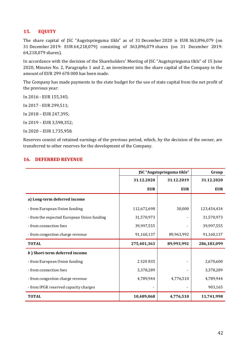### **15. EQUITY**

The share capital of JSC "Augstsprieguma tīkls" as of 31 December 2020 is EUR 363,896,079 (on 31 December 2019: EUR 64,218,079) consisting of 363,896,079 shares (on 31 December 2019: 64,218,079 shares).

In accordance with the decision of the Shareholders' Meeting of JSC "Augstsprieguma tīkls" of 15 June 2020, Minutes No. 2, Paragraphs 1 and 2, an investment into the share capital of the Company in the amount of EUR 299 678 000 has been made.

The Company has made payments to the state budget for the use of state capital from the net profit of the previous year:

In 2016 - EUR 155,345;

In 2017 - EUR 299,511;

In 2018 – EUR 247,395;

In 2019 – EUR 3,598,352;

In 2020 – EUR 1,735,958.

Reserves consist of retained earnings of the previous period, which, by the decision of the owner, are transferred to other reserves for the development of the Company.

#### **16. DEFERRED REVENUE**

|                                            | JSC "Augstsprieguma tīkls" | Group      |             |
|--------------------------------------------|----------------------------|------------|-------------|
|                                            | 31.12.2020                 | 31.12.2019 | 31.12.2020  |
|                                            | <b>EUR</b>                 | <b>EUR</b> | <b>EUR</b>  |
| a) Long-term deferred income               |                            |            |             |
| - from European Union funding              | 112,672,698                | 30,000     | 123,454,434 |
| - from the expected European Union funding | 31,570,973                 |            | 31,570,973  |
| - from connection fees                     | 39,997,555                 |            | 39,997,555  |
| - from congestion charge revenue           | 91,160,137                 | 89,963,992 | 91,160,137  |
| <b>TOTAL</b>                               | 275,401,363                | 89,993,992 | 286,183,099 |
| b) Short-term deferred income              |                            |            |             |
| - from European Union funding              | 2 3 2 0 8 3 5              |            | 2,670,600   |
| - from connection fees                     | 3,378,289                  |            | 3,378,289   |
| - from congestion charge revenue           | 4,789,944                  | 4,776,510  | 4,789,944   |
| - from IPGK reserved capacity charges      |                            |            | 903,165     |
| <b>TOTAL</b>                               | 10,489,068                 | 4,776,510  | 11,741,998  |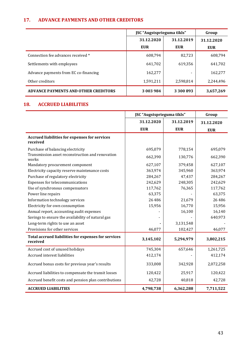## **17. ADVANCE PAYMENTS AND OTHER CREDITORS**

|                                             | JSC "Augstsprieguma tīkls" |            | Group      |
|---------------------------------------------|----------------------------|------------|------------|
|                                             | 31.12.2020                 | 31.12.2019 | 31.12.2020 |
|                                             | <b>EUR</b>                 | <b>EUR</b> | <b>EUR</b> |
| Connection fee advances received *          | 608.794                    | 82,723     | 608,794    |
| Settlements with employees                  | 641,702                    | 619,356    | 641,702    |
| Advance payments from EC co-financing       | 162,277                    |            | 162,277    |
| Other creditors                             | 1,591,211                  | 2,598,814  | 2,244,496  |
| <b>ADVANCE PAYMENTS AND OTHER CREDITORS</b> | 3 003 984                  | 3 300 893  | 3,657,269  |

## **18. ACCRUED LIABILITIES**

|                                                                  | JSC "Augstsprieguma tīkls" |            | Group      |
|------------------------------------------------------------------|----------------------------|------------|------------|
|                                                                  | 31.12.2020                 | 31.12.2019 | 31.12.2020 |
|                                                                  | <b>EUR</b>                 | <b>EUR</b> | <b>EUR</b> |
| <b>Accrued liabilities for expenses for services</b><br>received |                            |            |            |
| Purchase of balancing electricity                                | 695,079                    | 778,154    | 695,079    |
| Transmission asset reconstruction and renovation<br>works        | 662,390                    | 130,776    | 662,390    |
| Mandatory procurement component                                  | 627,107                    | 379,458    | 627,107    |
| Electricity capacity reserve maintenance costs                   | 363,974                    | 345,960    | 363,974    |
| Purchase of regulatory electricity                               | 284,267                    | 47,437     | 284,267    |
| Expenses for telecommunications                                  | 242,629                    | 248,305    | 242,629    |
| Use of synchronous compensators                                  | 117,762                    | 76,365     | 117,762    |
| Power line repairs                                               | 63,375                     |            | 63,375     |
| Information technology services                                  | 26 4 8 6                   | 21,679     | 26 4 8 6   |
| Electricity for own consumption                                  | 15,956                     | 16,770     | 15,956     |
| Annual report, accounting audit expenses                         |                            | 16,100     | 16,140     |
| Savings to ensure the availability of natural gas                |                            |            | 640,973    |
| Long-term rights to use an asset                                 |                            | 3,131,548  |            |
| Provisions for other services                                    | 46,077                     | 102,427    | 46,077     |
| Total accrued liabilities for expenses for services<br>received  | 3,145,102                  | 5,294,979  | 3,802,215  |
| Accrued cost of unused holidays                                  | 745,304                    | 657,646    | 1,261,725  |
| Accrued interest liabilities                                     | 412,174                    |            | 412,174    |
| Accrued bonus costs for previous year's results                  | 333,008                    | 342,928    | 2,072,258  |
| Accrued liabilities to compensate the transit losses             | 120,422                    | 25,917     | 120,422    |
| Accrued benefit costs and pension plan contributions             | 42,728                     | 40,818     | 42,728     |
| <b>ACCRUED LIABILITIES</b>                                       | 4,798,738                  | 6,362,288  | 7,711,522  |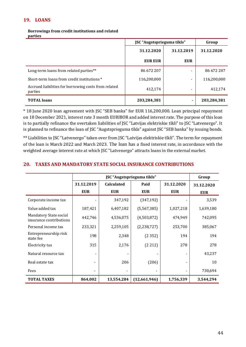## **19. LOANS**

#### **Borrowings from credit institutions and related parties**

|                                                                 | JSC "Augstsprieguma tīkls" |            | Group       |
|-----------------------------------------------------------------|----------------------------|------------|-------------|
|                                                                 | 31.12.2020                 | 31.12.2019 | 31.12.2020  |
|                                                                 | EUR EUR                    | <b>EUR</b> |             |
| Long-term loans from related parties**                          | 86 672 207                 |            | 86 672 207  |
| Short-term loans from credit institutions *                     | 116,200,000                |            | 116,200,000 |
| Accrued liabilities for borrowing costs from related<br>parties | 412,174                    |            | 412.174     |
| <b>TOTAL</b> loans                                              | 203,284,381                |            | 203,284,381 |

\* 18 June 2020 loan agreement with JSC "SEB banka" for EUR 116,200,000. Loan principal repayment on 18 December 2021, interest rate 3 month EURIBOR and added interest rate. The purpose of this loan is to partially refinance the overtaken liabilities of JSC "Latvijas elektriskie tīkli" to JSC "Latvenergo". It is planned to refinance the loan of JSC "Augstsprieguma tīkls" against JSC "SEB banka" by issuing bonds.

\*\* Liabilities to JSC "Latvenergo" taken over from JSC "Latvijas elektriskie tīkli". The term for repayment of the loan is March 2022 and March 2023. The loan has a fixed interest rate, in accordance with the weighted average interest rate at which JSC "Latvenergo" attracts loans in the external market.

|                                                   | JSC "Augstsprieguma tīkls" |                   |               |            | Group      |
|---------------------------------------------------|----------------------------|-------------------|---------------|------------|------------|
|                                                   | 31.12.2019                 | <b>Calculated</b> | Paid          | 31.12.2020 | 31.12.2020 |
|                                                   | <b>EUR</b>                 | <b>EUR</b>        | <b>EUR</b>    | <b>EUR</b> | <b>EUR</b> |
| Corporate income tax                              |                            | 347,192           | (347, 192)    |            | 3,539      |
| Value added tax                                   | 187,421                    | 6,407,182         | (5,567,385)   | 1,027,218  | 1,639,180  |
| Mandatory State social<br>insurance contributions | 442,746                    | 4,536,075         | (4,503,872)   | 474,949    | 742,095    |
| Personal income tax                               | 233,321                    | 2,259,105         | (2, 238, 727) | 253,700    | 385,067    |
| Entrepreneurship risk<br>state fee                | 198                        | 2,348             | (2352)        | 194        | 194        |
| Electricity tax                                   | 315                        | 2,176             | (2 212)       | 278        | 278        |
| Natural resource tax                              |                            |                   |               |            | 43,237     |
| Real estate tax                                   |                            | 206               | (206)         |            | 10         |
| Fees                                              |                            |                   |               |            | 730,694    |
| <b>TOTAL TAXES</b>                                | 864,002                    | 13,554,284        | (12,661,946)  | 1,756,339  | 3,544,294  |

#### **20. TAXES AND MANDATORY STATE SOCIAL INSURANCE CONTRIBUTIONS**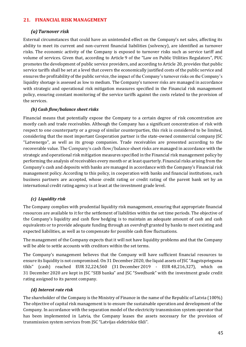### **21. FINANCIAL RISK MANAGEMENT**

### *(a)Turnover risk*

External circumstances that could have an unintended effect on the Company's net sales, affecting its ability to meet its current and non-current financial liabilities (solvency), are identified as turnover risks. The economic activity of the Company is exposed to turnover risks such as service tariff and volume of services. Given that, according to Article 9 of the "Law on Public Utilities Regulators", PUC promotes the development of public service providers, and according to Article 20, provides that public service tariffs shall be set at a level that covers the economically justified costs of the public service and ensures the profitability of the public service, the impact of the Company's turnover risks on the Company's liquidity shortage is assessed as low to medium. The Company's turnover risks are managed in accordance with strategic and operational risk mitigation measures specified in the Financial risk management policy, ensuring constant monitoring of the service tariffs against the costs related to the provision of the services.

#### *(b) Cash flow/balance sheet risks*

Financial means that potentially expose the Company to a certain degree of risk concentration are mostly cash and trade receivables. Although the Company has a significant concentration of risk with respect to one counterparty or a group of similar counterparties, this risk is considered to be limited, considering that the most important Cooperation partner is the state-owned commercial company JSC "Latvenergo", as well as its group companies. Trade receivables are presented according to the recoverable value. The Company's cash flow/balance sheet risks are managed in accordance with the strategic and operational risk mitigation measures specified in the Financial risk management policy by performing the analysis of receivables every month or at least quarterly. Financial risks arising from the Company's cash and deposits with banks are managed in accordance with the Company's Financial risk management policy. According to this policy, in cooperation with banks and financial institutions, such business partners are accepted, whose credit rating or credit rating of the parent bank set by an international credit rating agency is at least at the investment grade level.

## *(c) Liquidity risk*

The Company complies with prudential liquidity risk management, ensuring that appropriate financial resources are available to it for the settlement of liabilities within the set time periods. The objective of the Company's liquidity and cash flow hedging is to maintain an adequate amount of cash and cash equivalents or to provide adequate funding through an *overdraft* granted by banks to meet existing and expected liabilities, as well as to compensate for possible cash flow fluctuations.

The management of the Company expects that it will not have liquidity problems and that the Company will be able to settle accounts with creditors within the set terms.

The Company's management believes that the Company will have sufficient financial resources to ensure its liquidity is not compromised. On 31 December 2020, the liquid assets of JSC "Augstsprieguma tīkls" (cash) reached EUR 32,224,560 (31 December 2019 - EUR 48,216,327), which on 31 December 2020 are kept in JSC "SEB banka" and JSC "Swedbank" with the investment grade credit rating assigned to its parent company.

#### *(d) Interest rate risk*

The shareholder of the Company is the Ministry of Finance in the name of the Republic of Latvia (100%) The objective of capital risk management is to ensure the sustainable operation and development of the Company. In accordance with the separation model of the electricity transmission system operator that has been implemented in Latvia, the Company leases the assets necessary for the provision of transmission system services from JSC "Latvijas elektriskie tīkli".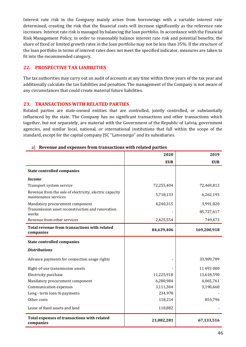Interest rate risk in the Company mainly arises from borrowings with a variable interest rate determined, creating the risk that the financial costs will increase significantly as the reference rate increases. Interest rate risk is managed by balancing the loan portfolio. In accordance with the Financial Risk Management Policy, in order to reasonably balance interest rate risk and potential benefits, the share of fixed or limited growth rates in the loan portfolio may not be less than 35%. If the structure of the loan portfolio in terms of interest rates does not meet the specified indicator, measures are taken to fit into the recommended category.

#### **22. PROSPECTIVE TAX LIABILITIES**

The tax authorities may carry out an audit of accounts at any time within three years of the tax year and additionally calculate the tax liabilities and penalties. The management of the Company is not aware of any circumstances that could create material future liabilities.

### **23. TRANSACTIONS WITH RELATED PARTIES**

Related parties are state-owned entities that are controlled, jointly controlled, or substantially influenced by the state. The Company has no significant transactions and other transactions which together, but not separately, are material with the Government of the Republic of Latvia, government agencies, and similar local, national, or international institutions that fall within the scope of the standard, except for the capital company JSC "Latvenergo" and its subsidiaries.

|                                                                                 | 2020       | 2019        |
|---------------------------------------------------------------------------------|------------|-------------|
|                                                                                 | <b>EUR</b> | <b>EUR</b>  |
| <b>State controlled companies</b>                                               |            |             |
| <i>Income</i>                                                                   |            |             |
| Transport system service                                                        | 72,255,404 | 72,469,813  |
| Revenue from the sale of electricity, electric capacity<br>maintenance services | 5,718,133  | 6,262,195   |
| Mandatory procurement component                                                 | 4,240,315  | 3,991,820   |
| Transmission asset reconstruction and renovation<br>works                       |            | 85,727,617  |
| Revenue from other services                                                     | 2,425,554  | 749,473     |
| Total revenue from transactions with related<br>companies                       | 84,639,406 | 169,200,918 |
| <b>State controlled companies</b>                                               |            |             |
| <b>Distributions</b>                                                            |            |             |
| Advance payments for connection usage rights                                    |            | 33,909,709  |
| Right-of-use transmission assets                                                |            | 11 493 000  |
| Electricity purchase                                                            | 11,225,918 | 13,618,590  |
| Mandatory procurement component                                                 | 6,280,984  | 4,065,761   |
| Communication expenses                                                          | 3,111,304  | 3,190,660   |
| Long - term loan % payments                                                     | 234,978    |             |
| Other costs                                                                     | 118,214    | 855,796     |
| Lease of fixed assets and land                                                  | 110,882    |             |
| <b>Total expenses of transactions with related</b><br>companies                 | 21,082,281 | 67,133,516  |

#### a) **Revenue and expenses from transactions with related parties**